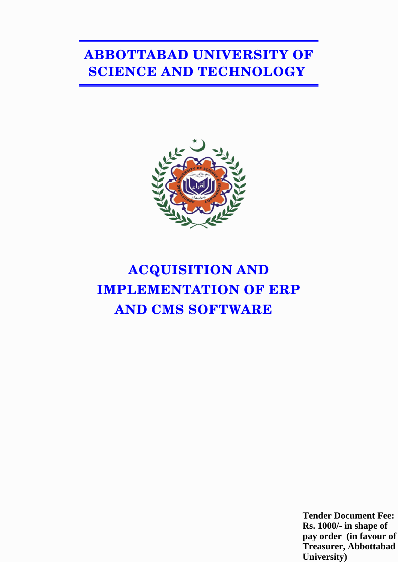# **ABBOTTABAD UNIVERSITY OF SCIENCE AND TECHNOLOGY**



# **ACQUISITION AND IMPLEMENTATION OF ERP AND CMS SOFTWARE**

**Tender Document Fee: Rs. 1000/- in shape of pay order (in favour of Treasurer, Abbottabad University)**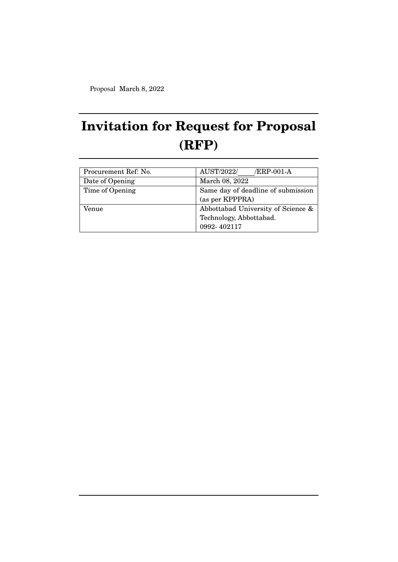Proposal March 8, 2022

# **Invitation for Request for Proposal (RFP)**

| Procurement Ref: No. | AUST/2022/<br>/ERP-001-A           |
|----------------------|------------------------------------|
| Date of Opening      | March 08, 2022                     |
| Time of Opening      | Same day of deadline of submission |
|                      | (as per KPPPRA)                    |
| Venue                | Abbottabad University of Science & |
|                      | Technology, Abbottabad.            |
|                      | 0992-402117                        |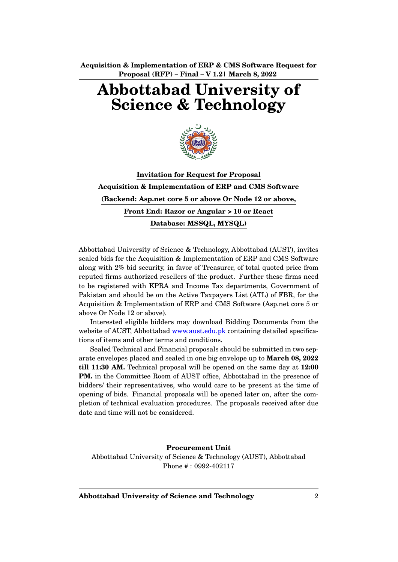# **Abbottabad University of Science & Technology**



**Invitation for Request for Proposal Acquisition & Implementation of ERP and CMS Software (Backend: Asp.net core 5 or above Or Node 12 or above, Front End: Razor or Angular > 10 or React Database: MSSQL, MYSQL)**

Abbottabad University of Science & Technology, Abbottabad (AUST), invites sealed bids for the Acquisition & Implementation of ERP and CMS Software along with 2% bid security, in favor of Treasurer, of total quoted price from reputed firms authorized resellers of the product. Further these firms need to be registered with KPRA and Income Tax departments, Government of Pakistan and should be on the Active Taxpayers List (ATL) of FBR, for the Acquisition & Implementation of ERP and CMS Software (Asp.net core 5 or above Or Node 12 or above).

Interested eligible bidders may download Bidding Documents from the website of AUST, Abbottabad www.aust.edu.pk containing detailed specifications of items and other terms and conditions.

Sealed Technical and Financial proposals should be submitted in two separate envelopes placed and sealed in one big envelope up to **March 08, 2022 till 11:30 AM.** Technical proposal will be opened on the same day at **12:00 PM.** in the Committee Room of AUST office, Abbottabad in the presence of bidders/ their representatives, who would care to be present at the time of opening of bids. Financial proposals will be opened later on, after the completion of technical evaluation procedures. The proposals received after due date and time will not be considered.

**Procurement Unit** Abbottabad University of Science & Technology (AUST), Abbottabad Phone # : 0992-402117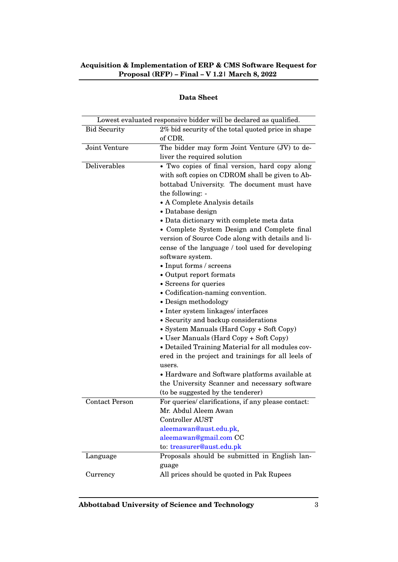| <b>Data Sheet</b> |
|-------------------|
|                   |

|                       | Lowest evaluated responsive bidder will be declared as qualified.                                 |  |
|-----------------------|---------------------------------------------------------------------------------------------------|--|
| <b>Bid Security</b>   | 2% bid security of the total quoted price in shape<br>of CDR.                                     |  |
| Joint Venture         | The bidder may form Joint Venture (JV) to de-                                                     |  |
|                       | liver the required solution                                                                       |  |
| Deliverables          | • Two copies of final version, hard copy along<br>with soft copies on CDROM shall be given to Ab- |  |
|                       | bottabad University. The document must have                                                       |  |
|                       | the following: -                                                                                  |  |
|                       | • A Complete Analysis details                                                                     |  |
|                       | • Database design                                                                                 |  |
|                       | • Data dictionary with complete meta data                                                         |  |
|                       | • Complete System Design and Complete final                                                       |  |
|                       | version of Source Code along with details and li-                                                 |  |
|                       | cense of the language / tool used for developing                                                  |  |
|                       | software system.                                                                                  |  |
|                       | • Input forms / screens                                                                           |  |
|                       | • Output report formats                                                                           |  |
|                       | • Screens for queries                                                                             |  |
|                       | • Codification-naming convention.                                                                 |  |
|                       | • Design methodology                                                                              |  |
|                       | • Inter system linkages/interfaces                                                                |  |
|                       | • Security and backup considerations                                                              |  |
|                       | • System Manuals (Hard Copy + Soft Copy)                                                          |  |
|                       | • User Manuals (Hard Copy + Soft Copy)                                                            |  |
|                       | • Detailed Training Material for all modules cov-                                                 |  |
|                       | ered in the project and trainings for all leels of                                                |  |
|                       | users.                                                                                            |  |
|                       | • Hardware and Software platforms available at                                                    |  |
|                       | the University Scanner and necessary software                                                     |  |
|                       | (to be suggested by the tenderer)                                                                 |  |
| <b>Contact Person</b> | For queries/ clarifications, if any please contact:                                               |  |
|                       | Mr. Abdul Aleem Awan                                                                              |  |
|                       | Controller AUST                                                                                   |  |
|                       | aleemawan@aust.edu.pk,                                                                            |  |
|                       | aleemawan@gmail.com CC                                                                            |  |
|                       | to: treasurer@aust.edu.pk                                                                         |  |
| Language              | Proposals should be submitted in English lan-                                                     |  |
|                       | guage                                                                                             |  |
| Currency              | All prices should be quoted in Pak Rupees                                                         |  |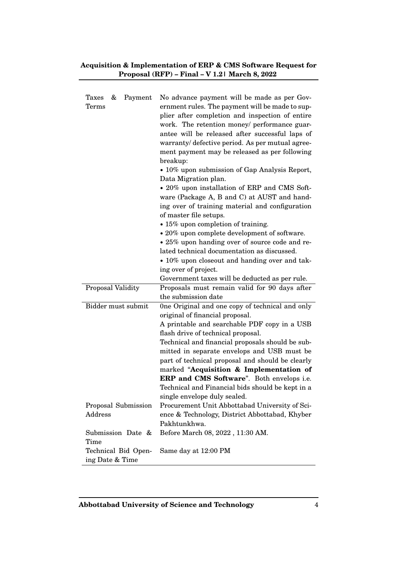| <b>Taxes</b><br>Payment<br>&<br>Terms  | No advance payment will be made as per Gov-<br>ernment rules. The payment will be made to sup-<br>plier after completion and inspection of entire<br>work. The retention money/ performance guar-<br>antee will be released after successful laps of<br>warranty/defective period. As per mutual agree-<br>ment payment may be released as per following<br>breakup:<br>• 10% upon submission of Gap Analysis Report,<br>Data Migration plan.<br>• 20% upon installation of ERP and CMS Soft-<br>ware (Package A, B and C) at AUST and hand-<br>ing over of training material and configuration<br>of master file setups.<br>• 15% upon completion of training.<br>• 20% upon complete development of software.<br>• 25% upon handing over of source code and re-<br>lated technical documentation as discussed.<br>• 10% upon closeout and handing over and tak-<br>ing over of project. |
|----------------------------------------|-------------------------------------------------------------------------------------------------------------------------------------------------------------------------------------------------------------------------------------------------------------------------------------------------------------------------------------------------------------------------------------------------------------------------------------------------------------------------------------------------------------------------------------------------------------------------------------------------------------------------------------------------------------------------------------------------------------------------------------------------------------------------------------------------------------------------------------------------------------------------------------------|
| Proposal Validity                      | Government taxes will be deducted as per rule.<br>Proposals must remain valid for 90 days after                                                                                                                                                                                                                                                                                                                                                                                                                                                                                                                                                                                                                                                                                                                                                                                           |
|                                        | the submission date                                                                                                                                                                                                                                                                                                                                                                                                                                                                                                                                                                                                                                                                                                                                                                                                                                                                       |
| Bidder must submit                     | One Original and one copy of technical and only<br>original of financial proposal.<br>A printable and searchable PDF copy in a USB<br>flash drive of technical proposal.<br>Technical and financial proposals should be sub-<br>mitted in separate envelops and USB must be<br>part of technical proposal and should be clearly<br>marked "Acquisition & Implementation of<br>ERP and CMS Software". Both envelops i.e.<br>Technical and Financial bids should be kept in a<br>single envelope duly sealed.                                                                                                                                                                                                                                                                                                                                                                               |
| Proposal Submission<br>Address         | Procurement Unit Abbottabad University of Sci-<br>ence & Technology, District Abbottabad, Khyber<br>Pakhtunkhwa.                                                                                                                                                                                                                                                                                                                                                                                                                                                                                                                                                                                                                                                                                                                                                                          |
| Submission Date &<br>Time              | Before March 08, 2022, 11:30 AM.                                                                                                                                                                                                                                                                                                                                                                                                                                                                                                                                                                                                                                                                                                                                                                                                                                                          |
| Technical Bid Open-<br>ing Date & Time | Same day at 12:00 PM                                                                                                                                                                                                                                                                                                                                                                                                                                                                                                                                                                                                                                                                                                                                                                                                                                                                      |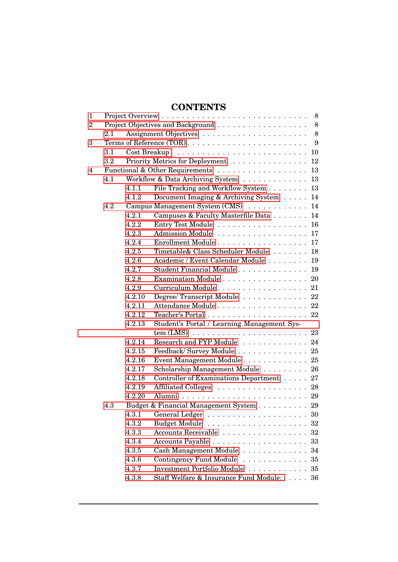## **CONTENTS**

| 1              |         |        | 8                                                               |  |
|----------------|---------|--------|-----------------------------------------------------------------|--|
| $\overline{2}$ |         |        | 8                                                               |  |
|                | 2.1     |        | 8                                                               |  |
| 3              |         |        | 9                                                               |  |
|                | $3.1\,$ |        | 10                                                              |  |
|                | $3.2\,$ |        | Priority Metrics for Deployment<br>12                           |  |
| 4              |         |        | 13                                                              |  |
|                | 4.1     |        | Workflow & Data Archiving System<br>13                          |  |
|                |         | 4.1.1  | File Tracking and Workflow System<br>13                         |  |
|                |         | 4.1.2  | Document Imaging & Archiving System<br>14                       |  |
|                | 4.2     |        | Campus Management System (CMS)<br>14                            |  |
|                |         | 4.2.1  | Campuses & Faculty Masterfile Data<br>14                        |  |
|                |         | 4.2.2  | Entry Test Module 16                                            |  |
|                |         | 4.2.3  | Admission Module 17                                             |  |
|                |         | 4.2.4  | 17                                                              |  |
|                |         | 4.2.5  | Timetable& Class Scheduler Module<br>18                         |  |
|                |         | 4.2.6  | Academic / Event Calendar Module<br>19                          |  |
|                |         | 4.2.7  | Student Financial Module 19                                     |  |
|                |         | 4.2.8  | Examination Module<br>20                                        |  |
|                |         | 4.2.9  | Curriculum Module 21                                            |  |
|                |         | 4.2.10 | Degree/Transcript Module 22                                     |  |
|                |         | 4.2.11 | Attendance Module 22                                            |  |
|                |         | 4.2.12 | Teacher's Portal $\ldots \ldots \ldots \ldots \ldots \ldots 22$ |  |
|                |         | 4.2.13 | Student's Portal / Learning Management Sys-                     |  |
|                |         |        |                                                                 |  |
|                |         | 4.2.14 | Research and FYP Module  24                                     |  |
|                |         | 4.2.15 | Feedback/Survey Module 25                                       |  |
|                |         | 4.2.16 | Event Management Module 25                                      |  |
|                |         | 4.2.17 | Scholarship Management Module 26                                |  |
|                |         | 4.2.18 | Controller of Examinations Department 27                        |  |
|                |         | 4.2.19 | Affiliated Colleges 28                                          |  |
|                |         | 4.2.20 |                                                                 |  |
|                | 4.3     |        | Budget & Financial Management System 29                         |  |
|                |         |        |                                                                 |  |
|                |         | 4.3.2  | <b>Budget Module</b><br>$32\,$                                  |  |
|                |         | 4.3.3  | Accounts Receivable<br>32                                       |  |
|                |         | 4.3.4  | 33                                                              |  |
|                |         | 4.3.5  | Cash Management Module<br>34                                    |  |
|                |         | 4.3.6  | Contingency Fund Module<br>35                                   |  |
|                |         | 4.3.7  | Investment Portfolio Module<br>35                               |  |
|                |         | 4.3.8  | Staff Welfare & Insurance Fund Module:<br>36                    |  |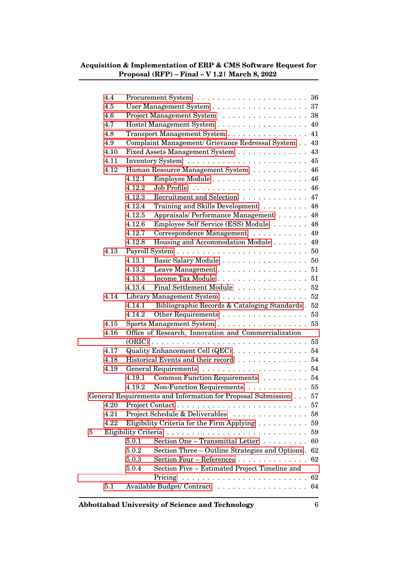|   | 4.4  |                                                                    |  |
|---|------|--------------------------------------------------------------------|--|
|   | 4.5  |                                                                    |  |
|   | 4.6  | Project Management System 38                                       |  |
|   | 4.7  | Hostel Management System 40                                        |  |
|   | 4.8  | Transport Management System 41                                     |  |
|   | 4.9  | Complaint Management/ Grievance Redressal System 43                |  |
|   | 4.10 | Fixed Assets Management System 43                                  |  |
|   | 4.11 |                                                                    |  |
|   | 4.12 | Human Resource Management System 46                                |  |
|   |      | 4.12.1                                                             |  |
|   |      | 4.12.2                                                             |  |
|   |      | Recruitment and Selection 47<br>4.12.3                             |  |
|   |      | Training and Skills Development 48<br>4.12.4                       |  |
|   |      | Appraisals/Performance Management 48<br>4.12.5                     |  |
|   |      | Employee Self Service (ESS) Module 48<br>4.12.6                    |  |
|   |      | Correspondence Management 49<br>4.12.7                             |  |
|   |      | Housing and Accommodation Module 49<br>4.12.8                      |  |
|   | 4.13 |                                                                    |  |
|   |      | Basic Salary Module 50<br>4.13.1                                   |  |
|   |      | 4.13.2<br>Leave Management $\ldots \ldots \ldots \ldots \ldots 51$ |  |
|   |      | Income Tax Module 51<br>4.13.3                                     |  |
|   |      | 4.13.4<br>Final Settlement Module 52                               |  |
|   | 4.14 | Library Management System $\ldots \ldots \ldots \ldots \ldots 52$  |  |
|   |      | Bibliographic Records & Cataloging Standards . 52<br>4.14.1        |  |
|   |      | Other Requirements 53<br>4.14.2                                    |  |
|   | 4.15 | Sports Management System 53                                        |  |
|   | 4.16 | Office of Research, Innovation and Commercialization               |  |
|   |      |                                                                    |  |
|   | 4.17 | Quality Enhancement Cell (QEC) 54                                  |  |
|   | 4.18 | Historical Events and their record 54                              |  |
|   | 4.19 |                                                                    |  |
|   |      | Common Function Requirements 54<br>4.19.1                          |  |
|   |      | Non-Function Requirements 55<br>4.19.2                             |  |
|   |      | General Requirements and Information for Proposal Submission 57    |  |
|   | 4.20 | 57                                                                 |  |
|   | 4.21 | Project Schedule & Deliverables<br>58                              |  |
|   | 4.22 | Eligibility Criteria for the Firm Applying<br>59                   |  |
| 5 |      | 59                                                                 |  |
|   |      | Section One - Transmittal Letter $\dots \dots$<br>5.0.1<br>60      |  |
|   |      | 5.0.2<br>Section Three – Outline Strategies and Options.<br>62     |  |
|   |      | 5.0.3<br>Section Four - References<br>62                           |  |
|   |      | 5.0.4<br>Section Five – Estimated Project Timeline and             |  |
|   |      | 62                                                                 |  |
|   | 5.1  | Available Budget/Contract 64                                       |  |
|   |      |                                                                    |  |
|   |      |                                                                    |  |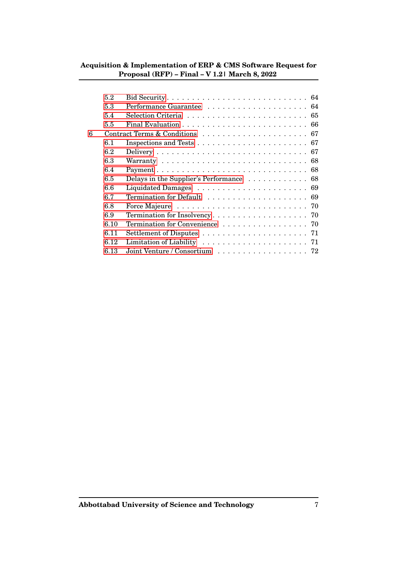|   | 5.2  |                                                                                    |
|---|------|------------------------------------------------------------------------------------|
|   | 5.3  |                                                                                    |
|   | 5.4  |                                                                                    |
|   | 5.5  | Final Evaluation $\ldots \ldots \ldots \ldots \ldots \ldots \ldots \ldots$         |
| 6 |      |                                                                                    |
|   | 6.1  | Inspections and Tests $\ldots \ldots \ldots \ldots \ldots \ldots \ldots \ldots 67$ |
|   | 6.2  |                                                                                    |
|   | 6.3  |                                                                                    |
|   | 6.4  |                                                                                    |
|   | 6.5  | Delays in the Supplier's Performance 68                                            |
|   | 6.6  |                                                                                    |
|   | 6.7  |                                                                                    |
|   | 6.8  |                                                                                    |
|   | 6.9  |                                                                                    |
|   | 6.10 | Termination for Convenience 70                                                     |
|   | 6.11 |                                                                                    |
|   | 6.12 | Limitation of Liability $\ldots \ldots \ldots \ldots \ldots \ldots \ldots$ 71      |
|   | 6.13 | Joint Venture / Consortium $\ldots \ldots \ldots \ldots \ldots \ldots$ 72          |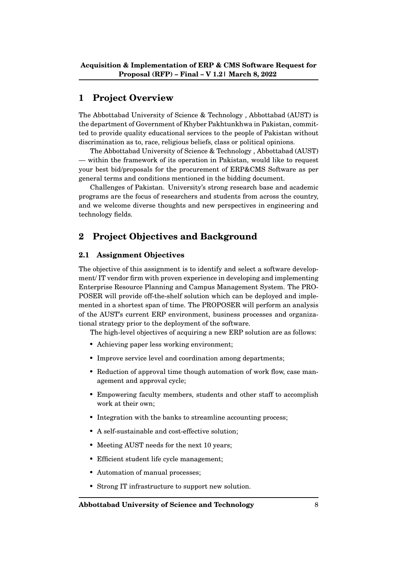## <span id="page-8-0"></span>**1 Project Overview**

The Abbottabad University of Science & Technology , Abbottabad (AUST) is the department of Government of Khyber Pakhtunkhwa in Pakistan, committed to provide quality educational services to the people of Pakistan without discrimination as to, race, religious beliefs, class or political opinions.

The Abbottabad University of Science & Technology , Abbottabad (AUST) — within the framework of its operation in Pakistan, would like to request your best bid/proposals for the procurement of ERP&CMS Software as per general terms and conditions mentioned in the bidding document.

Challenges of Pakistan. University's strong research base and academic programs are the focus of researchers and students from across the country, and we welcome diverse thoughts and new perspectives in engineering and technology fields.

## <span id="page-8-1"></span>**2 Project Objectives and Background**

### <span id="page-8-2"></span>**2.1 Assignment Objectives**

The objective of this assignment is to identify and select a software development/ IT vendor firm with proven experience in developing and implementing Enterprise Resource Planning and Campus Management System. The PRO-POSER will provide off-the-shelf solution which can be deployed and implemented in a shortest span of time. The PROPOSER will perform an analysis of the AUST's current ERP environment, business processes and organizational strategy prior to the deployment of the software.

The high-level objectives of acquiring a new ERP solution are as follows:

- Achieving paper less working environment;
- Improve service level and coordination among departments;
- Reduction of approval time though automation of work flow, case management and approval cycle;
- Empowering faculty members, students and other staff to accomplish work at their own;
- Integration with the banks to streamline accounting process;
- A self-sustainable and cost-effective solution;
- Meeting AUST needs for the next 10 years;
- Efficient student life cycle management;
- Automation of manual processes;
- Strong IT infrastructure to support new solution.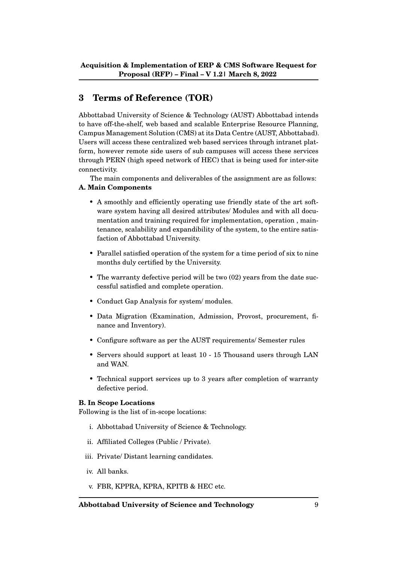## <span id="page-9-0"></span>**3 Terms of Reference (TOR)**

Abbottabad University of Science & Technology (AUST) Abbottabad intends to have off-the-shelf, web based and scalable Enterprise Resource Planning, Campus Management Solution (CMS) at its Data Centre (AUST, Abbottabad). Users will access these centralized web based services through intranet platform, however remote side users of sub campuses will access these services through PERN (high speed network of HEC) that is being used for inter-site connectivity.

The main components and deliverables of the assignment are as follows: **A. Main Components**

- A smoothly and efficiently operating use friendly state of the art software system having all desired attributes/ Modules and with all documentation and training required for implementation, operation , maintenance, scalability and expandibility of the system, to the entire satisfaction of Abbottabad University.
- Parallel satisfied operation of the system for a time period of six to nine months duly certified by the University.
- The warranty defective period will be two (02) years from the date successful satisfied and complete operation.
- Conduct Gap Analysis for system/ modules.
- Data Migration (Examination, Admission, Provost, procurement, finance and Inventory).
- Configure software as per the AUST requirements/ Semester rules
- Servers should support at least 10 15 Thousand users through LAN and WAN.
- Technical support services up to 3 years after completion of warranty defective period.

#### **B. In Scope Locations**

Following is the list of in-scope locations:

- i. Abbottabad University of Science & Technology.
- ii. Affiliated Colleges (Public / Private).
- iii. Private/ Distant learning candidates.
- iv. All banks.
- v. FBR, KPPRA, KPRA, KPITB & HEC etc.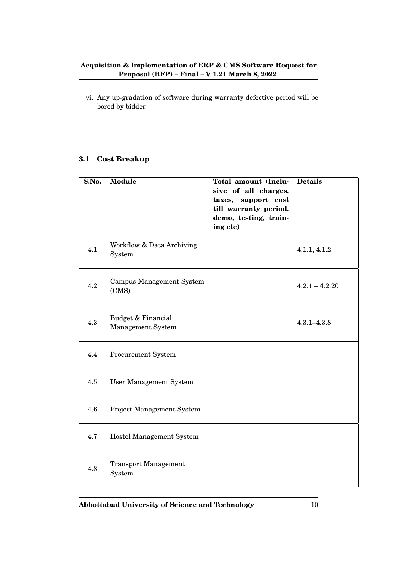vi. Any up-gradation of software during warranty defective period will be bored by bidder.

## <span id="page-10-0"></span>**3.1 Cost Breakup**

| S.No. | <b>Module</b>                            | Total amount (Inclu-<br>sive of all charges,<br>taxes, support cost | <b>Details</b>   |
|-------|------------------------------------------|---------------------------------------------------------------------|------------------|
|       |                                          | till warranty period,                                               |                  |
|       |                                          | demo, testing, train-<br>ing etc)                                   |                  |
| 4.1   | Workflow & Data Archiving<br>System      |                                                                     | 4.1.1, 4.1.2     |
| 4.2   | <b>Campus Management System</b><br>(CMS) |                                                                     | $4.2.1 - 4.2.20$ |
| 4.3   | Budget & Financial<br>Management System  |                                                                     | $4.3.1 - 4.3.8$  |
| 4.4   | Procurement System                       |                                                                     |                  |
| 4.5   | <b>User Management System</b>            |                                                                     |                  |
| 4.6   | <b>Project Management System</b>         |                                                                     |                  |
| 4.7   | Hostel Management System                 |                                                                     |                  |
| 4.8   | <b>Transport Management</b><br>System    |                                                                     |                  |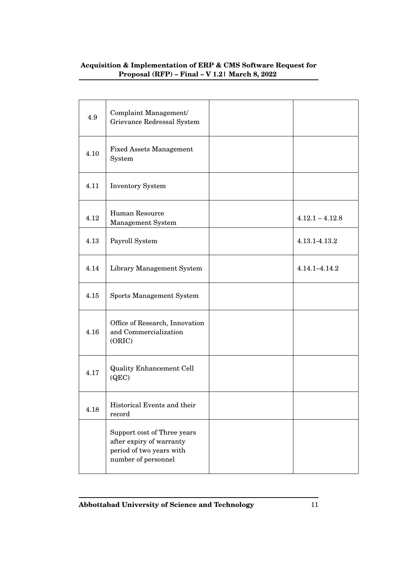| 4.9  | Complaint Management/<br>Grievance Redressal System                                                        |                   |
|------|------------------------------------------------------------------------------------------------------------|-------------------|
| 4.10 | <b>Fixed Assets Management</b><br>System                                                                   |                   |
| 4.11 | <b>Inventory System</b>                                                                                    |                   |
| 4.12 | Human Resource<br>Management System                                                                        | $4.12.1 - 4.12.8$ |
| 4.13 | Payroll System                                                                                             | 4.13.1-4.13.2     |
| 4.14 | Library Management System                                                                                  | 4.14.1-4.14.2     |
| 4.15 | <b>Sports Management System</b>                                                                            |                   |
| 4.16 | Office of Research, Innovation<br>and Commercialization<br>(ORIC)                                          |                   |
| 4.17 | <b>Quality Enhancement Cell</b><br>(QEC)                                                                   |                   |
| 4.18 | Historical Events and their<br>record                                                                      |                   |
|      | Support cost of Three years<br>after expiry of warranty<br>period of two years with<br>number of personnel |                   |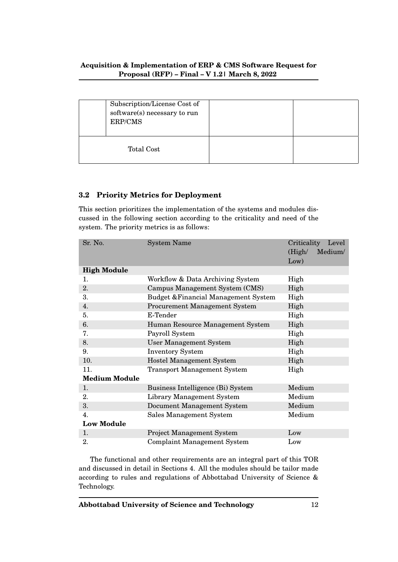|            | Subscription/License Cost of<br>software(s) necessary to run<br>ERP/CMS |  |
|------------|-------------------------------------------------------------------------|--|
| Total Cost |                                                                         |  |

## <span id="page-12-0"></span>**3.2 Priority Metrics for Deployment**

This section prioritizes the implementation of the systems and modules discussed in the following section according to the criticality and need of the system. The priority metrics is as follows:

| Sr. No.              | <b>System Name</b>                   | Criticality Level |
|----------------------|--------------------------------------|-------------------|
|                      |                                      | Medium/<br>(High/ |
|                      |                                      | Low)              |
| <b>High Module</b>   |                                      |                   |
| 1.                   | Workflow & Data Archiving System     | High              |
| 2.                   | Campus Management System (CMS)       | High              |
| 3.                   | Budget & Financial Management System | High              |
| 4.                   | <b>Procurement Management System</b> | High              |
| 5.                   | E-Tender                             | High              |
| 6.                   | Human Resource Management System     | High              |
| 7.                   | Payroll System                       | High              |
| 8.                   | <b>User Management System</b>        | High              |
| 9.                   | <b>Inventory System</b>              | High              |
| 10.                  | <b>Hostel Management System</b>      | High              |
| 11.                  | <b>Transport Management System</b>   | High              |
| <b>Medium Module</b> |                                      |                   |
| 1.                   | Business Intelligence (Bi) System    | Medium            |
| 2.                   | Library Management System            | Medium            |
| 3.                   | Document Management System           | Medium            |
| $\overline{4}$ .     | Sales Management System              | Medium            |
| <b>Low Module</b>    |                                      |                   |
| 1.                   | <b>Project Management System</b>     | Low               |
| 2.                   | <b>Complaint Management System</b>   | Low               |

The functional and other requirements are an integral part of this TOR and discussed in detail in Sections 4. All the modules should be tailor made according to rules and regulations of Abbottabad University of Science & Technology.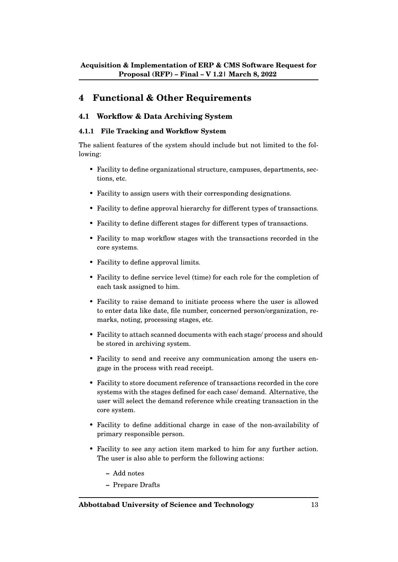## <span id="page-13-0"></span>**4 Functional & Other Requirements**

## <span id="page-13-1"></span>**4.1 Workflow & Data Archiving System**

### <span id="page-13-2"></span>**4.1.1 File Tracking and Workflow System**

- Facility to define organizational structure, campuses, departments, sections, etc.
- Facility to assign users with their corresponding designations.
- Facility to define approval hierarchy for different types of transactions.
- Facility to define different stages for different types of transactions.
- Facility to map workflow stages with the transactions recorded in the core systems.
- Facility to define approval limits.
- Facility to define service level (time) for each role for the completion of each task assigned to him.
- Facility to raise demand to initiate process where the user is allowed to enter data like date, file number, concerned person/organization, remarks, noting, processing stages, etc.
- Facility to attach scanned documents with each stage/ process and should be stored in archiving system.
- Facility to send and receive any communication among the users engage in the process with read receipt.
- Facility to store document reference of transactions recorded in the core systems with the stages defined for each case/ demand. Alternative, the user will select the demand reference while creating transaction in the core system.
- Facility to define additional charge in case of the non-availability of primary responsible person.
- Facility to see any action item marked to him for any further action. The user is also able to perform the following actions:
	- **–** Add notes
	- **–** Prepare Drafts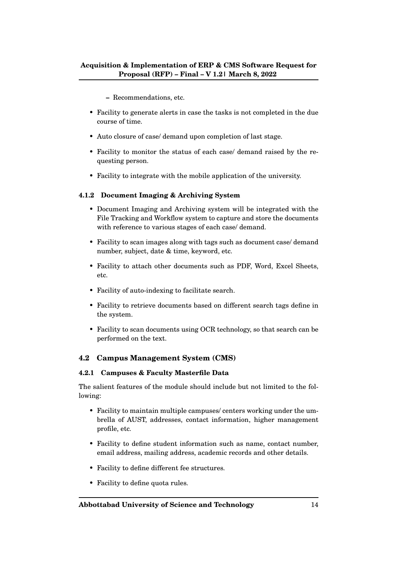- **–** Recommendations, etc.
- Facility to generate alerts in case the tasks is not completed in the due course of time.
- Auto closure of case/ demand upon completion of last stage.
- Facility to monitor the status of each case/ demand raised by the requesting person.
- Facility to integrate with the mobile application of the university.

#### <span id="page-14-0"></span>**4.1.2 Document Imaging & Archiving System**

- Document Imaging and Archiving system will be integrated with the File Tracking and Workflow system to capture and store the documents with reference to various stages of each case/ demand.
- Facility to scan images along with tags such as document case/ demand number, subject, date & time, keyword, etc.
- Facility to attach other documents such as PDF, Word, Excel Sheets, etc.
- Facility of auto-indexing to facilitate search.
- Facility to retrieve documents based on different search tags define in the system.
- Facility to scan documents using OCR technology, so that search can be performed on the text.

#### <span id="page-14-1"></span>**4.2 Campus Management System (CMS)**

#### <span id="page-14-2"></span>**4.2.1 Campuses & Faculty Masterfile Data**

- Facility to maintain multiple campuses/ centers working under the umbrella of AUST, addresses, contact information, higher management profile, etc.
- Facility to define student information such as name, contact number, email address, mailing address, academic records and other details.
- Facility to define different fee structures.
- Facility to define quota rules.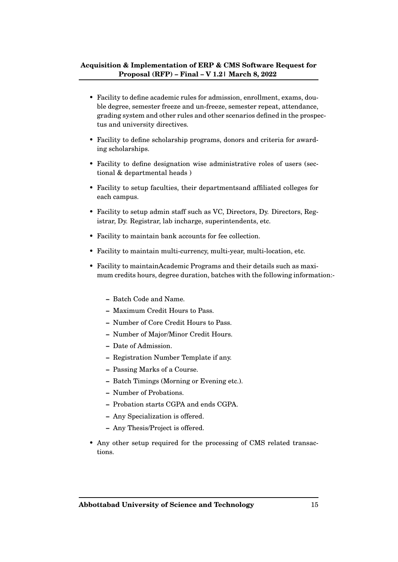- Facility to define academic rules for admission, enrollment, exams, double degree, semester freeze and un-freeze, semester repeat, attendance, grading system and other rules and other scenarios defined in the prospectus and university directives.
- Facility to define scholarship programs, donors and criteria for awarding scholarships.
- Facility to define designation wise administrative roles of users (sectional & departmental heads )
- Facility to setup faculties, their departmentsand affiliated colleges for each campus.
- Facility to setup admin staff such as VC, Directors, Dy. Directors, Registrar, Dy. Registrar, lab incharge, superintendents, etc.
- Facility to maintain bank accounts for fee collection.
- Facility to maintain multi-currency, multi-year, multi-location, etc.
- Facility to maintainAcademic Programs and their details such as maximum credits hours, degree duration, batches with the following information:-
	- **–** Batch Code and Name.
	- **–** Maximum Credit Hours to Pass.
	- **–** Number of Core Credit Hours to Pass.
	- **–** Number of Major/Minor Credit Hours.
	- **–** Date of Admission.
	- **–** Registration Number Template if any.
	- **–** Passing Marks of a Course.
	- **–** Batch Timings (Morning or Evening etc.).
	- **–** Number of Probations.
	- **–** Probation starts CGPA and ends CGPA.
	- **–** Any Specialization is offered.
	- **–** Any Thesis/Project is offered.
- Any other setup required for the processing of CMS related transactions.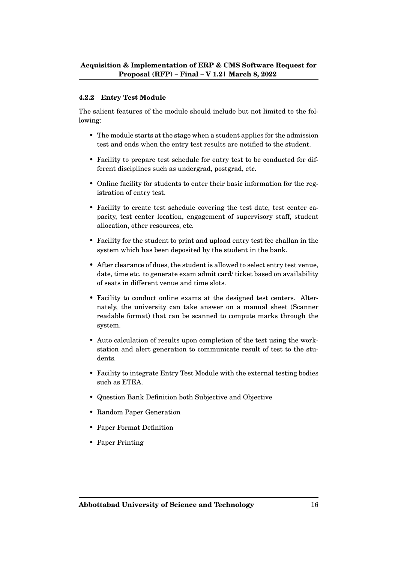#### <span id="page-16-0"></span>**4.2.2 Entry Test Module**

- The module starts at the stage when a student applies for the admission test and ends when the entry test results are notified to the student.
- Facility to prepare test schedule for entry test to be conducted for different disciplines such as undergrad, postgrad, etc.
- Online facility for students to enter their basic information for the registration of entry test.
- Facility to create test schedule covering the test date, test center capacity, test center location, engagement of supervisory staff, student allocation, other resources, etc.
- Facility for the student to print and upload entry test fee challan in the system which has been deposited by the student in the bank.
- After clearance of dues, the student is allowed to select entry test venue, date, time etc. to generate exam admit card/ ticket based on availability of seats in different venue and time slots.
- Facility to conduct online exams at the designed test centers. Alternately, the university can take answer on a manual sheet (Scanner readable format) that can be scanned to compute marks through the system.
- Auto calculation of results upon completion of the test using the workstation and alert generation to communicate result of test to the students.
- Facility to integrate Entry Test Module with the external testing bodies such as ETEA.
- Question Bank Definition both Subjective and Objective
- Random Paper Generation
- Paper Format Definition
- Paper Printing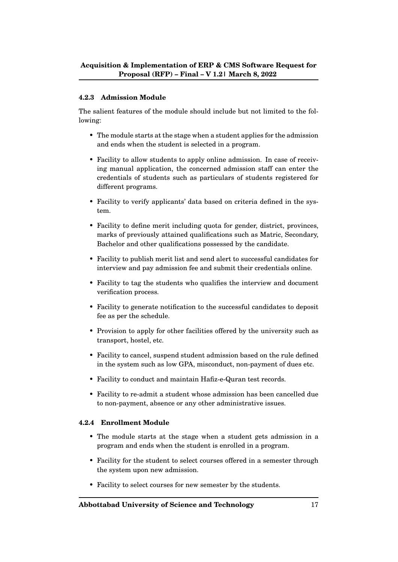#### <span id="page-17-0"></span>**4.2.3 Admission Module**

The salient features of the module should include but not limited to the following:

- The module starts at the stage when a student applies for the admission and ends when the student is selected in a program.
- Facility to allow students to apply online admission. In case of receiving manual application, the concerned admission staff can enter the credentials of students such as particulars of students registered for different programs.
- Facility to verify applicants' data based on criteria defined in the system.
- Facility to define merit including quota for gender, district, provinces, marks of previously attained qualifications such as Matric, Secondary, Bachelor and other qualifications possessed by the candidate.
- Facility to publish merit list and send alert to successful candidates for interview and pay admission fee and submit their credentials online.
- Facility to tag the students who qualifies the interview and document verification process.
- Facility to generate notification to the successful candidates to deposit fee as per the schedule.
- Provision to apply for other facilities offered by the university such as transport, hostel, etc.
- Facility to cancel, suspend student admission based on the rule defined in the system such as low GPA, misconduct, non-payment of dues etc.
- Facility to conduct and maintain Hafiz-e-Quran test records.
- Facility to re-admit a student whose admission has been cancelled due to non-payment, absence or any other administrative issues.

#### <span id="page-17-1"></span>**4.2.4 Enrollment Module**

- The module starts at the stage when a student gets admission in a program and ends when the student is enrolled in a program.
- Facility for the student to select courses offered in a semester through the system upon new admission.
- Facility to select courses for new semester by the students.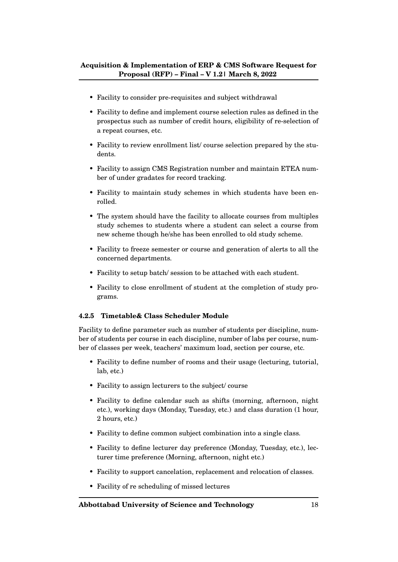- Facility to consider pre-requisites and subject withdrawal
- Facility to define and implement course selection rules as defined in the prospectus such as number of credit hours, eligibility of re-selection of a repeat courses, etc.
- Facility to review enrollment list/ course selection prepared by the students.
- Facility to assign CMS Registration number and maintain ETEA number of under gradates for record tracking.
- Facility to maintain study schemes in which students have been enrolled.
- The system should have the facility to allocate courses from multiples study schemes to students where a student can select a course from new scheme though he/she has been enrolled to old study scheme.
- Facility to freeze semester or course and generation of alerts to all the concerned departments.
- Facility to setup batch/ session to be attached with each student.
- Facility to close enrollment of student at the completion of study programs.

#### <span id="page-18-0"></span>**4.2.5 Timetable& Class Scheduler Module**

Facility to define parameter such as number of students per discipline, number of students per course in each discipline, number of labs per course, number of classes per week, teachers' maximum load, section per course, etc.

- Facility to define number of rooms and their usage (lecturing, tutorial, lab, etc.)
- Facility to assign lecturers to the subject/ course
- Facility to define calendar such as shifts (morning, afternoon, night etc.), working days (Monday, Tuesday, etc.) and class duration (1 hour, 2 hours, etc.)
- Facility to define common subject combination into a single class.
- Facility to define lecturer day preference (Monday, Tuesday, etc.), lecturer time preference (Morning, afternoon, night etc.)
- Facility to support cancelation, replacement and relocation of classes.
- Facility of re scheduling of missed lectures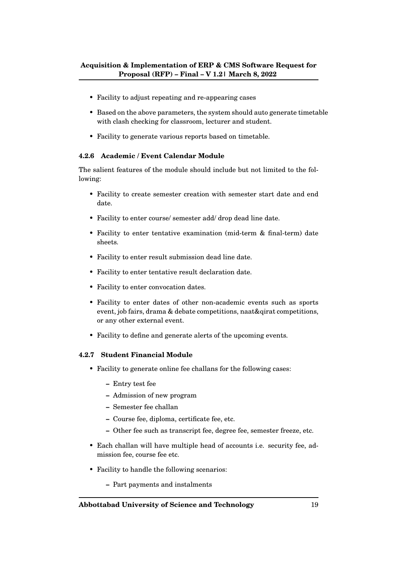- Facility to adjust repeating and re-appearing cases
- Based on the above parameters, the system should auto generate timetable with clash checking for classroom, lecturer and student.
- Facility to generate various reports based on timetable.

#### <span id="page-19-0"></span>**4.2.6 Academic / Event Calendar Module**

The salient features of the module should include but not limited to the following:

- Facility to create semester creation with semester start date and end date.
- Facility to enter course/ semester add/ drop dead line date.
- Facility to enter tentative examination (mid-term & final-term) date sheets.
- Facility to enter result submission dead line date.
- Facility to enter tentative result declaration date.
- Facility to enter convocation dates.
- Facility to enter dates of other non-academic events such as sports event, job fairs, drama & debate competitions, naat&qirat competitions, or any other external event.
- Facility to define and generate alerts of the upcoming events.

#### <span id="page-19-1"></span>**4.2.7 Student Financial Module**

- Facility to generate online fee challans for the following cases:
	- **–** Entry test fee
	- **–** Admission of new program
	- **–** Semester fee challan
	- **–** Course fee, diploma, certificate fee, etc.
	- **–** Other fee such as transcript fee, degree fee, semester freeze, etc.
- Each challan will have multiple head of accounts i.e. security fee, admission fee, course fee etc.
- Facility to handle the following scenarios:
	- **–** Part payments and instalments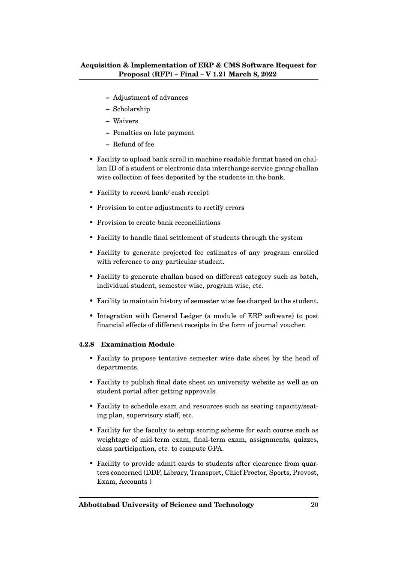- **–** Adjustment of advances
- **–** Scholarship
- **–** Waivers
- **–** Penalties on late payment
- **–** Refund of fee
- Facility to upload bank scroll in machine readable format based on challan ID of a student or electronic data interchange service giving challan wise collection of fees deposited by the students in the bank.
- Facility to record bank/ cash receipt
- Provision to enter adjustments to rectify errors
- Provision to create bank reconciliations
- Facility to handle final settlement of students through the system
- Facility to generate projected fee estimates of any program enrolled with reference to any particular student.
- Facility to generate challan based on different category such as batch, individual student, semester wise, program wise, etc.
- Facility to maintain history of semester wise fee charged to the student.
- Integration with General Ledger (a module of ERP software) to post financial effects of different receipts in the form of journal voucher.

#### <span id="page-20-0"></span>**4.2.8 Examination Module**

- Facility to propose tentative semester wise date sheet by the head of departments.
- Facility to publish final date sheet on university website as well as on student portal after getting approvals.
- Facility to schedule exam and resources such as seating capacity/seating plan, supervisory staff, etc.
- Facility for the faculty to setup scoring scheme for each course such as weightage of mid-term exam, final-term exam, assignments, quizzes, class participation, etc. to compute GPA.
- Facility to provide admit cards to students after clearence from quarters concerned (DDF, Library, Transport, Chief Proctor, Sports, Provost, Exam, Accounts )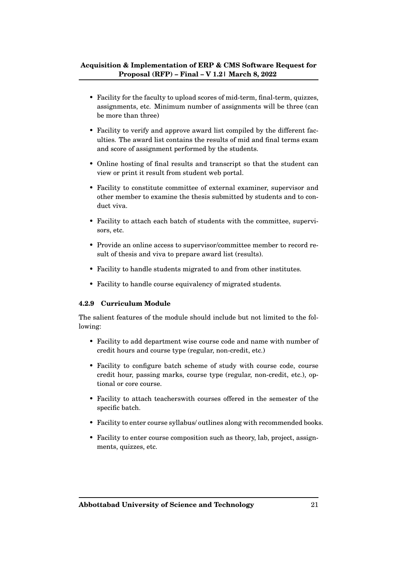- Facility for the faculty to upload scores of mid-term, final-term, quizzes, assignments, etc. Minimum number of assignments will be three (can be more than three)
- Facility to verify and approve award list compiled by the different faculties. The award list contains the results of mid and final terms exam and score of assignment performed by the students.
- Online hosting of final results and transcript so that the student can view or print it result from student web portal.
- Facility to constitute committee of external examiner, supervisor and other member to examine the thesis submitted by students and to conduct viva.
- Facility to attach each batch of students with the committee, supervisors, etc.
- Provide an online access to supervisor/committee member to record result of thesis and viva to prepare award list (results).
- Facility to handle students migrated to and from other institutes.
- Facility to handle course equivalency of migrated students.

#### <span id="page-21-0"></span>**4.2.9 Curriculum Module**

- Facility to add department wise course code and name with number of credit hours and course type (regular, non-credit, etc.)
- Facility to configure batch scheme of study with course code, course credit hour, passing marks, course type (regular, non-credit, etc.), optional or core course.
- Facility to attach teacherswith courses offered in the semester of the specific batch.
- Facility to enter course syllabus/ outlines along with recommended books.
- Facility to enter course composition such as theory, lab, project, assignments, quizzes, etc.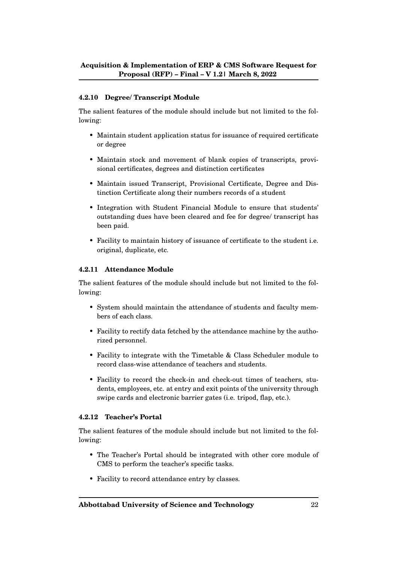#### <span id="page-22-0"></span>**4.2.10 Degree/ Transcript Module**

The salient features of the module should include but not limited to the following:

- Maintain student application status for issuance of required certificate or degree
- Maintain stock and movement of blank copies of transcripts, provisional certificates, degrees and distinction certificates
- Maintain issued Transcript, Provisional Certificate, Degree and Distinction Certificate along their numbers records of a student
- Integration with Student Financial Module to ensure that students' outstanding dues have been cleared and fee for degree/ transcript has been paid.
- Facility to maintain history of issuance of certificate to the student i.e. original, duplicate, etc.

#### <span id="page-22-1"></span>**4.2.11 Attendance Module**

The salient features of the module should include but not limited to the following:

- System should maintain the attendance of students and faculty members of each class.
- Facility to rectify data fetched by the attendance machine by the authorized personnel.
- Facility to integrate with the Timetable & Class Scheduler module to record class-wise attendance of teachers and students.
- Facility to record the check-in and check-out times of teachers, students, employees, etc. at entry and exit points of the university through swipe cards and electronic barrier gates (i.e. tripod, flap, etc.).

#### <span id="page-22-2"></span>**4.2.12 Teacher's Portal**

- The Teacher's Portal should be integrated with other core module of CMS to perform the teacher's specific tasks.
- Facility to record attendance entry by classes.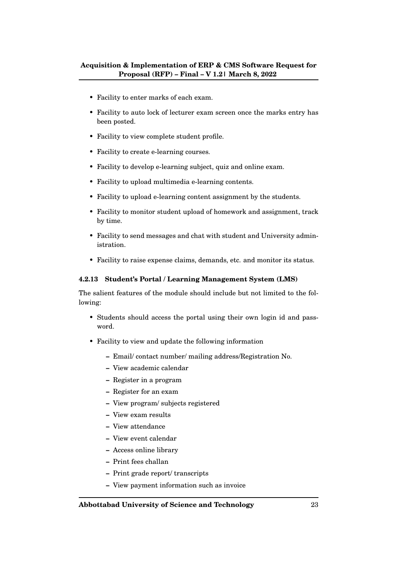- Facility to enter marks of each exam.
- Facility to auto lock of lecturer exam screen once the marks entry has been posted.
- Facility to view complete student profile.
- Facility to create e-learning courses.
- Facility to develop e-learning subject, quiz and online exam.
- Facility to upload multimedia e-learning contents.
- Facility to upload e-learning content assignment by the students.
- Facility to monitor student upload of homework and assignment, track by time.
- Facility to send messages and chat with student and University administration.
- Facility to raise expense claims, demands, etc. and monitor its status.

#### <span id="page-23-0"></span>**4.2.13 Student's Portal / Learning Management System (LMS)**

- Students should access the portal using their own login id and password.
- Facility to view and update the following information
	- **–** Email/ contact number/ mailing address/Registration No.
	- **–** View academic calendar
	- **–** Register in a program
	- **–** Register for an exam
	- **–** View program/ subjects registered
	- **–** View exam results
	- **–** View attendance
	- **–** View event calendar
	- **–** Access online library
	- **–** Print fees challan
	- **–** Print grade report/ transcripts
	- **–** View payment information such as invoice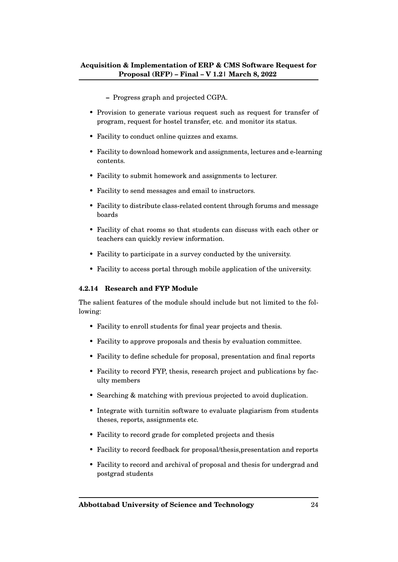- **–** Progress graph and projected CGPA.
- Provision to generate various request such as request for transfer of program, request for hostel transfer, etc. and monitor its status.
- Facility to conduct online quizzes and exams.
- Facility to download homework and assignments, lectures and e-learning contents.
- Facility to submit homework and assignments to lecturer.
- Facility to send messages and email to instructors.
- Facility to distribute class-related content through forums and message boards
- Facility of chat rooms so that students can discuss with each other or teachers can quickly review information.
- Facility to participate in a survey conducted by the university.
- Facility to access portal through mobile application of the university.

#### <span id="page-24-0"></span>**4.2.14 Research and FYP Module**

- Facility to enroll students for final year projects and thesis.
- Facility to approve proposals and thesis by evaluation committee.
- Facility to define schedule for proposal, presentation and final reports
- Facility to record FYP, thesis, research project and publications by faculty members
- Searching & matching with previous projected to avoid duplication.
- Integrate with turnitin software to evaluate plagiarism from students theses, reports, assignments etc.
- Facility to record grade for completed projects and thesis
- Facility to record feedback for proposal/thesis,presentation and reports
- Facility to record and archival of proposal and thesis for undergrad and postgrad students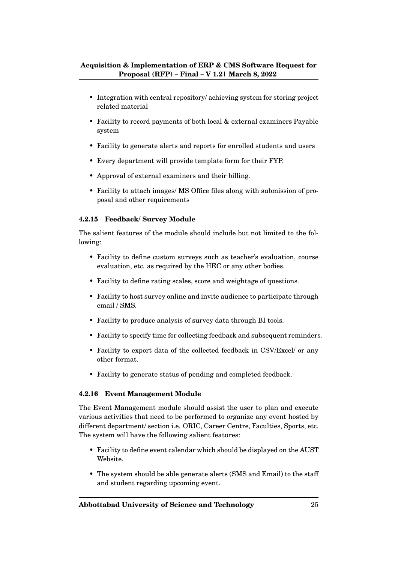- Integration with central repository/ achieving system for storing project related material
- Facility to record payments of both local & external examiners Payable system
- Facility to generate alerts and reports for enrolled students and users
- Every department will provide template form for their FYP.
- Approval of external examiners and their billing.
- Facility to attach images/ MS Office files along with submission of proposal and other requirements

#### <span id="page-25-0"></span>**4.2.15 Feedback/ Survey Module**

The salient features of the module should include but not limited to the following:

- Facility to define custom surveys such as teacher's evaluation, course evaluation, etc. as required by the HEC or any other bodies.
- Facility to define rating scales, score and weightage of questions.
- Facility to host survey online and invite audience to participate through email / SMS.
- Facility to produce analysis of survey data through BI tools.
- Facility to specify time for collecting feedback and subsequent reminders.
- Facility to export data of the collected feedback in CSV/Excel/ or any other format.
- Facility to generate status of pending and completed feedback.

#### <span id="page-25-1"></span>**4.2.16 Event Management Module**

The Event Management module should assist the user to plan and execute various activities that need to be performed to organize any event hosted by different department/ section i.e. ORIC, Career Centre, Faculties, Sports, etc. The system will have the following salient features:

- Facility to define event calendar which should be displayed on the AUST Website.
- The system should be able generate alerts (SMS and Email) to the staff and student regarding upcoming event.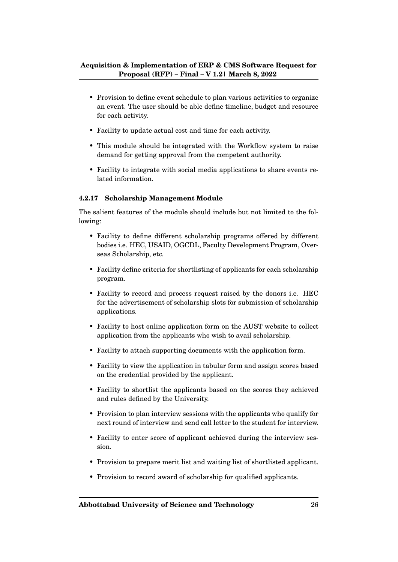- Provision to define event schedule to plan various activities to organize an event. The user should be able define timeline, budget and resource for each activity.
- Facility to update actual cost and time for each activity.
- This module should be integrated with the Workflow system to raise demand for getting approval from the competent authority.
- Facility to integrate with social media applications to share events related information.

#### <span id="page-26-0"></span>**4.2.17 Scholarship Management Module**

- Facility to define different scholarship programs offered by different bodies i.e. HEC, USAID, OGCDL, Faculty Development Program, Overseas Scholarship, etc.
- Facility define criteria for shortlisting of applicants for each scholarship program.
- Facility to record and process request raised by the donors i.e. HEC for the advertisement of scholarship slots for submission of scholarship applications.
- Facility to host online application form on the AUST website to collect application from the applicants who wish to avail scholarship.
- Facility to attach supporting documents with the application form.
- Facility to view the application in tabular form and assign scores based on the credential provided by the applicant.
- Facility to shortlist the applicants based on the scores they achieved and rules defined by the University.
- Provision to plan interview sessions with the applicants who qualify for next round of interview and send call letter to the student for interview.
- Facility to enter score of applicant achieved during the interview session.
- Provision to prepare merit list and waiting list of shortlisted applicant.
- Provision to record award of scholarship for qualified applicants.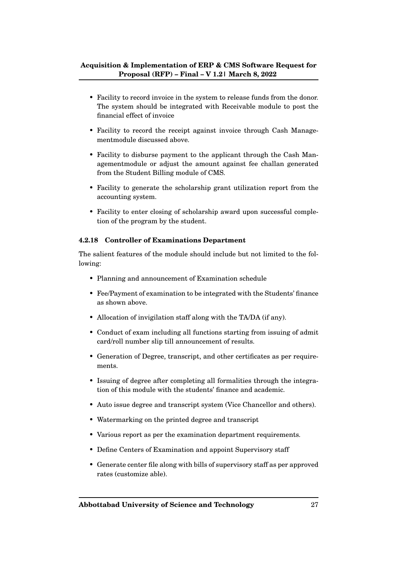- Facility to record invoice in the system to release funds from the donor. The system should be integrated with Receivable module to post the financial effect of invoice
- Facility to record the receipt against invoice through Cash Managementmodule discussed above.
- Facility to disburse payment to the applicant through the Cash Managementmodule or adjust the amount against fee challan generated from the Student Billing module of CMS.
- Facility to generate the scholarship grant utilization report from the accounting system.
- Facility to enter closing of scholarship award upon successful completion of the program by the student.

#### <span id="page-27-0"></span>**4.2.18 Controller of Examinations Department**

- Planning and announcement of Examination schedule
- Fee/Payment of examination to be integrated with the Students' finance as shown above.
- Allocation of invigilation staff along with the TA/DA (if any).
- Conduct of exam including all functions starting from issuing of admit card/roll number slip till announcement of results.
- Generation of Degree, transcript, and other certificates as per requirements.
- Issuing of degree after completing all formalities through the integration of this module with the students' finance and academic.
- Auto issue degree and transcript system (Vice Chancellor and others).
- Watermarking on the printed degree and transcript
- Various report as per the examination department requirements.
- Define Centers of Examination and appoint Supervisory staff
- Generate center file along with bills of supervisory staff as per approved rates (customize able).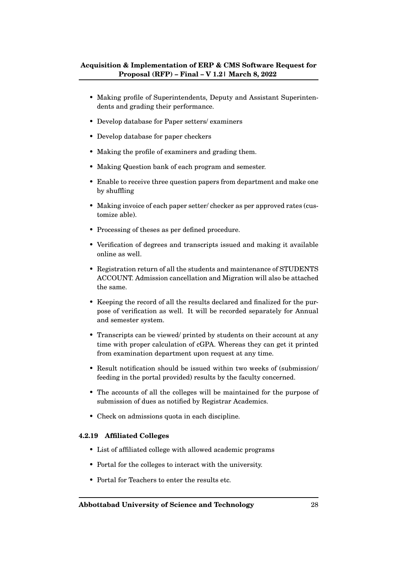- Making profile of Superintendents, Deputy and Assistant Superintendents and grading their performance.
- Develop database for Paper setters/ examiners
- Develop database for paper checkers
- Making the profile of examiners and grading them.
- Making Question bank of each program and semester.
- Enable to receive three question papers from department and make one by shuffling
- Making invoice of each paper setter/ checker as per approved rates (customize able).
- Processing of theses as per defined procedure.
- Verification of degrees and transcripts issued and making it available online as well.
- Registration return of all the students and maintenance of STUDENTS ACCOUNT. Admission cancellation and Migration will also be attached the same.
- Keeping the record of all the results declared and finalized for the purpose of verification as well. It will be recorded separately for Annual and semester system.
- Transcripts can be viewed/ printed by students on their account at any time with proper calculation of cGPA. Whereas they can get it printed from examination department upon request at any time.
- Result notification should be issued within two weeks of (submission/ feeding in the portal provided) results by the faculty concerned.
- The accounts of all the colleges will be maintained for the purpose of submission of dues as notified by Registrar Academics.
- Check on admissions quota in each discipline.

#### <span id="page-28-0"></span>**4.2.19 Affiliated Colleges**

- List of affiliated college with allowed academic programs
- Portal for the colleges to interact with the university.
- Portal for Teachers to enter the results etc.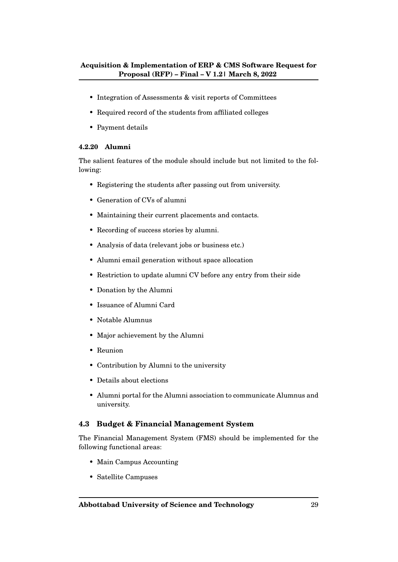- Integration of Assessments & visit reports of Committees
- Required record of the students from affiliated colleges
- Payment details

#### <span id="page-29-0"></span>**4.2.20 Alumni**

The salient features of the module should include but not limited to the following:

- Registering the students after passing out from university.
- Generation of CVs of alumni
- Maintaining their current placements and contacts.
- Recording of success stories by alumni.
- Analysis of data (relevant jobs or business etc.)
- Alumni email generation without space allocation
- Restriction to update alumni CV before any entry from their side
- Donation by the Alumni
- Issuance of Alumni Card
- Notable Alumnus
- Major achievement by the Alumni
- Reunion
- Contribution by Alumni to the university
- Details about elections
- Alumni portal for the Alumni association to communicate Alumnus and university.

#### <span id="page-29-1"></span>**4.3 Budget & Financial Management System**

The Financial Management System (FMS) should be implemented for the following functional areas:

- Main Campus Accounting
- Satellite Campuses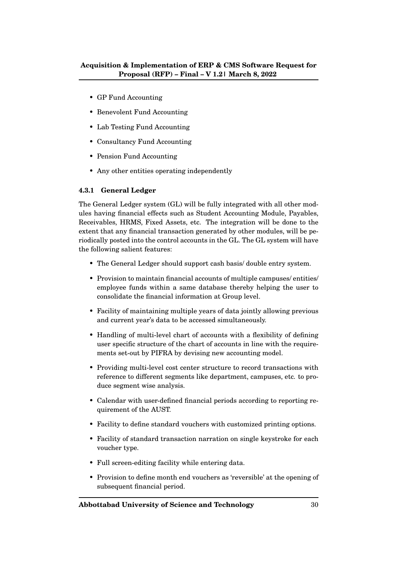- GP Fund Accounting
- Benevolent Fund Accounting
- Lab Testing Fund Accounting
- Consultancy Fund Accounting
- Pension Fund Accounting
- Any other entities operating independently

### <span id="page-30-0"></span>**4.3.1 General Ledger**

The General Ledger system (GL) will be fully integrated with all other modules having financial effects such as Student Accounting Module, Payables, Receivables, HRMS, Fixed Assets, etc. The integration will be done to the extent that any financial transaction generated by other modules, will be periodically posted into the control accounts in the GL. The GL system will have the following salient features:

- The General Ledger should support cash basis/ double entry system.
- Provision to maintain financial accounts of multiple campuses/ entities/ employee funds within a same database thereby helping the user to consolidate the financial information at Group level.
- Facility of maintaining multiple years of data jointly allowing previous and current year's data to be accessed simultaneously.
- Handling of multi-level chart of accounts with a flexibility of defining user specific structure of the chart of accounts in line with the requirements set-out by PIFRA by devising new accounting model.
- Providing multi-level cost center structure to record transactions with reference to different segments like department, campuses, etc. to produce segment wise analysis.
- Calendar with user-defined financial periods according to reporting requirement of the AUST.
- Facility to define standard vouchers with customized printing options.
- Facility of standard transaction narration on single keystroke for each voucher type.
- Full screen-editing facility while entering data.
- Provision to define month end vouchers as 'reversible' at the opening of subsequent financial period.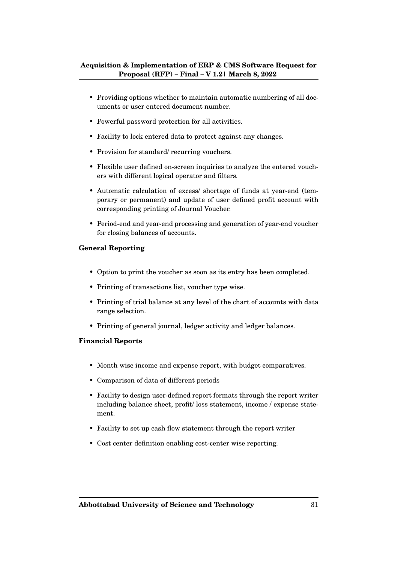- Providing options whether to maintain automatic numbering of all documents or user entered document number.
- Powerful password protection for all activities.
- Facility to lock entered data to protect against any changes.
- Provision for standard/ recurring vouchers.
- Flexible user defined on-screen inquiries to analyze the entered vouchers with different logical operator and filters.
- Automatic calculation of excess/ shortage of funds at year-end (temporary or permanent) and update of user defined profit account with corresponding printing of Journal Voucher.
- Period-end and year-end processing and generation of year-end voucher for closing balances of accounts.

#### **General Reporting**

- Option to print the voucher as soon as its entry has been completed.
- Printing of transactions list, voucher type wise.
- Printing of trial balance at any level of the chart of accounts with data range selection.
- Printing of general journal, ledger activity and ledger balances.

#### **Financial Reports**

- Month wise income and expense report, with budget comparatives.
- Comparison of data of different periods
- Facility to design user-defined report formats through the report writer including balance sheet, profit/ loss statement, income / expense statement.
- Facility to set up cash flow statement through the report writer
- Cost center definition enabling cost-center wise reporting.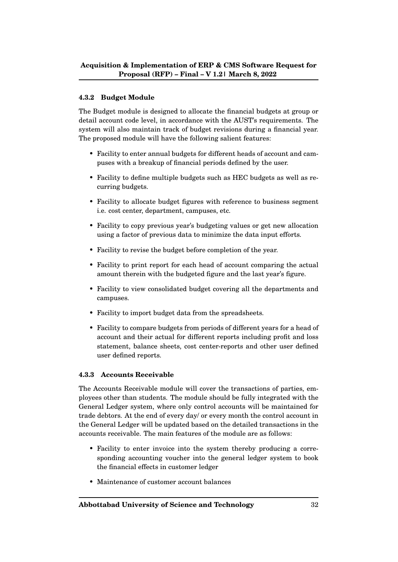### <span id="page-32-0"></span>**4.3.2 Budget Module**

The Budget module is designed to allocate the financial budgets at group or detail account code level, in accordance with the AUST's requirements. The system will also maintain track of budget revisions during a financial year. The proposed module will have the following salient features:

- Facility to enter annual budgets for different heads of account and campuses with a breakup of financial periods defined by the user.
- Facility to define multiple budgets such as HEC budgets as well as recurring budgets.
- Facility to allocate budget figures with reference to business segment i.e. cost center, department, campuses, etc.
- Facility to copy previous year's budgeting values or get new allocation using a factor of previous data to minimize the data input efforts.
- Facility to revise the budget before completion of the year.
- Facility to print report for each head of account comparing the actual amount therein with the budgeted figure and the last year's figure.
- Facility to view consolidated budget covering all the departments and campuses.
- Facility to import budget data from the spreadsheets.
- Facility to compare budgets from periods of different years for a head of account and their actual for different reports including profit and loss statement, balance sheets, cost center-reports and other user defined user defined reports.

#### <span id="page-32-1"></span>**4.3.3 Accounts Receivable**

The Accounts Receivable module will cover the transactions of parties, employees other than students. The module should be fully integrated with the General Ledger system, where only control accounts will be maintained for trade debtors. At the end of every day/ or every month the control account in the General Ledger will be updated based on the detailed transactions in the accounts receivable. The main features of the module are as follows:

- Facility to enter invoice into the system thereby producing a corresponding accounting voucher into the general ledger system to book the financial effects in customer ledger
- Maintenance of customer account balances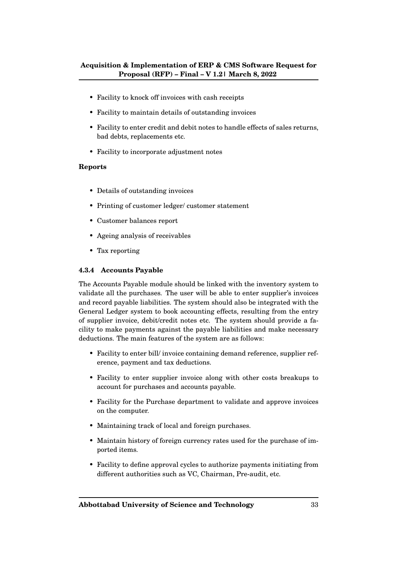- Facility to knock off invoices with cash receipts
- Facility to maintain details of outstanding invoices
- Facility to enter credit and debit notes to handle effects of sales returns, bad debts, replacements etc.
- Facility to incorporate adjustment notes

#### **Reports**

- Details of outstanding invoices
- Printing of customer ledger/ customer statement
- Customer balances report
- Ageing analysis of receivables
- Tax reporting

#### <span id="page-33-0"></span>**4.3.4 Accounts Payable**

The Accounts Payable module should be linked with the inventory system to validate all the purchases. The user will be able to enter supplier's invoices and record payable liabilities. The system should also be integrated with the General Ledger system to book accounting effects, resulting from the entry of supplier invoice, debit/credit notes etc. The system should provide a facility to make payments against the payable liabilities and make necessary deductions. The main features of the system are as follows:

- Facility to enter bill/ invoice containing demand reference, supplier reference, payment and tax deductions.
- Facility to enter supplier invoice along with other costs breakups to account for purchases and accounts payable.
- Facility for the Purchase department to validate and approve invoices on the computer.
- Maintaining track of local and foreign purchases.
- Maintain history of foreign currency rates used for the purchase of imported items.
- Facility to define approval cycles to authorize payments initiating from different authorities such as VC, Chairman, Pre-audit, etc.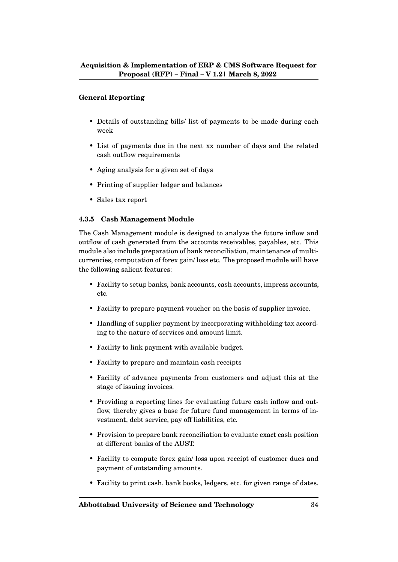#### **General Reporting**

- Details of outstanding bills/ list of payments to be made during each week
- List of payments due in the next xx number of days and the related cash outflow requirements
- Aging analysis for a given set of days
- Printing of supplier ledger and balances
- Sales tax report

#### <span id="page-34-0"></span>**4.3.5 Cash Management Module**

The Cash Management module is designed to analyze the future inflow and outflow of cash generated from the accounts receivables, payables, etc. This module also include preparation of bank reconciliation, maintenance of multicurrencies, computation of forex gain/ loss etc. The proposed module will have the following salient features:

- Facility to setup banks, bank accounts, cash accounts, impress accounts, etc.
- Facility to prepare payment voucher on the basis of supplier invoice.
- Handling of supplier payment by incorporating withholding tax according to the nature of services and amount limit.
- Facility to link payment with available budget.
- Facility to prepare and maintain cash receipts
- Facility of advance payments from customers and adjust this at the stage of issuing invoices.
- Providing a reporting lines for evaluating future cash inflow and outflow, thereby gives a base for future fund management in terms of investment, debt service, pay off liabilities, etc.
- Provision to prepare bank reconciliation to evaluate exact cash position at different banks of the AUST.
- Facility to compute forex gain/ loss upon receipt of customer dues and payment of outstanding amounts.
- Facility to print cash, bank books, ledgers, etc. for given range of dates.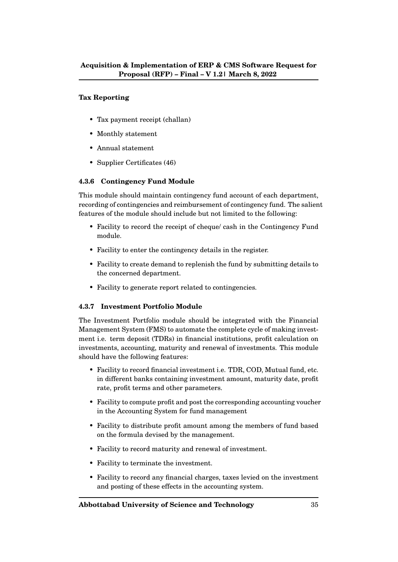#### **Tax Reporting**

- Tax payment receipt (challan)
- Monthly statement
- Annual statement
- Supplier Certificates (46)

#### <span id="page-35-0"></span>**4.3.6 Contingency Fund Module**

This module should maintain contingency fund account of each department, recording of contingencies and reimbursement of contingency fund. The salient features of the module should include but not limited to the following:

- Facility to record the receipt of cheque/ cash in the Contingency Fund module.
- Facility to enter the contingency details in the register.
- Facility to create demand to replenish the fund by submitting details to the concerned department.
- Facility to generate report related to contingencies.

#### <span id="page-35-1"></span>**4.3.7 Investment Portfolio Module**

The Investment Portfolio module should be integrated with the Financial Management System (FMS) to automate the complete cycle of making investment i.e. term deposit (TDRs) in financial institutions, profit calculation on investments, accounting, maturity and renewal of investments. This module should have the following features:

- Facility to record financial investment i.e. TDR, COD, Mutual fund, etc. in different banks containing investment amount, maturity date, profit rate, profit terms and other parameters.
- Facility to compute profit and post the corresponding accounting voucher in the Accounting System for fund management
- Facility to distribute profit amount among the members of fund based on the formula devised by the management.
- Facility to record maturity and renewal of investment.
- Facility to terminate the investment.
- Facility to record any financial charges, taxes levied on the investment and posting of these effects in the accounting system.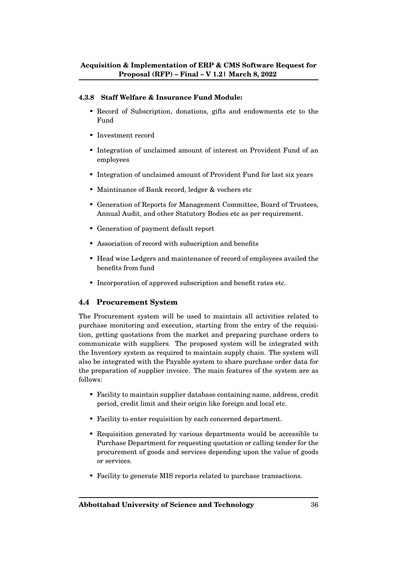#### **4.3.8 Staff Welfare & Insurance Fund Module:**

- Record of Subscription, donations, gifts and endowments etc to the Fund
- Investment record
- Integration of unclaimed amount of interest on Provident Fund of an employees
- Integration of unclaimed amount of Provident Fund for last six years
- Maintinance of Bank record, ledger & vochers etc
- Generation of Reports for Management Committee, Board of Trustees, Annual Audit, and other Statutory Bodies etc as per requirement.
- Generation of payment default report
- Association of record with subscription and benefits
- Head wise Ledgers and maintenance of record of employees availed the benefits from fund
- Incorporation of approved subscription and benefit rates etc.

#### **4.4 Procurement System**

The Procurement system will be used to maintain all activities related to purchase monitoring and execution, starting from the entry of the requisition, getting quotations from the market and preparing purchase orders to communicate with suppliers. The proposed system will be integrated with the Inventory system as required to maintain supply chain. The system will also be integrated with the Payable system to share purchase order data for the preparation of supplier invoice. The main features of the system are as follows:

- Facility to maintain supplier database containing name, address, credit period, credit limit and their origin like foreign and local etc.
- Facility to enter requisition by each concerned department.
- Requisition generated by various departments would be accessible to Purchase Department for requesting quotation or calling tender for the procurement of goods and services depending upon the value of goods or services.
- Facility to generate MIS reports related to purchase transactions.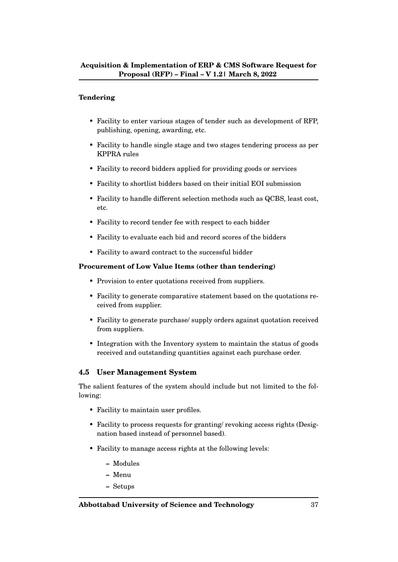#### **Tendering**

- Facility to enter various stages of tender such as development of RFP, publishing, opening, awarding, etc.
- Facility to handle single stage and two stages tendering process as per KPPRA rules
- Facility to record bidders applied for providing goods or services
- Facility to shortlist bidders based on their initial EOI submission
- Facility to handle different selection methods such as QCBS, least cost, etc.
- Facility to record tender fee with respect to each bidder
- Facility to evaluate each bid and record scores of the bidders
- Facility to award contract to the successful bidder

#### **Procurement of Low Value Items (other than tendering)**

- Provision to enter quotations received from suppliers.
- Facility to generate comparative statement based on the quotations received from supplier.
- Facility to generate purchase/ supply orders against quotation received from suppliers.
- Integration with the Inventory system to maintain the status of goods received and outstanding quantities against each purchase order.

#### **4.5 User Management System**

The salient features of the system should include but not limited to the following:

- Facility to maintain user profiles.
- Facility to process requests for granting/ revoking access rights (Designation based instead of personnel based).
- Facility to manage access rights at the following levels:
	- **–** Modules
	- **–** Menu
	- **–** Setups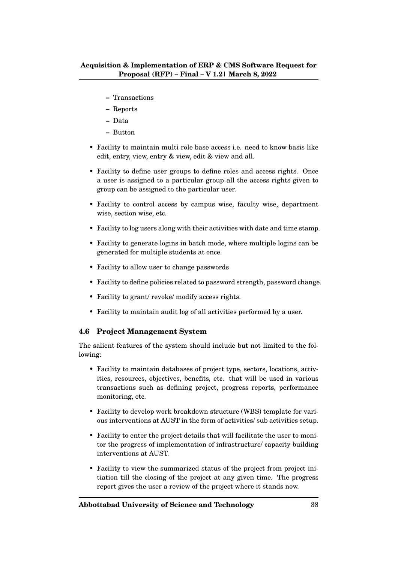- **–** Transactions
- **–** Reports
- **–** Data
- **–** Button
- Facility to maintain multi role base access *i.e.* need to know basis like edit, entry, view, entry & view, edit & view and all.
- Facility to define user groups to define roles and access rights. Once a user is assigned to a particular group all the access rights given to group can be assigned to the particular user.
- Facility to control access by campus wise, faculty wise, department wise, section wise, etc.
- Facility to log users along with their activities with date and time stamp.
- Facility to generate logins in batch mode, where multiple logins can be generated for multiple students at once.
- Facility to allow user to change passwords
- Facility to define policies related to password strength, password change.
- Facility to grant/ revoke/ modify access rights.
- Facility to maintain audit log of all activities performed by a user.

#### **4.6 Project Management System**

The salient features of the system should include but not limited to the following:

- Facility to maintain databases of project type, sectors, locations, activities, resources, objectives, benefits, etc. that will be used in various transactions such as defining project, progress reports, performance monitoring, etc.
- Facility to develop work breakdown structure (WBS) template for various interventions at AUST in the form of activities/ sub activities setup.
- Facility to enter the project details that will facilitate the user to monitor the progress of implementation of infrastructure/ capacity building interventions at AUST.
- Facility to view the summarized status of the project from project initiation till the closing of the project at any given time. The progress report gives the user a review of the project where it stands now.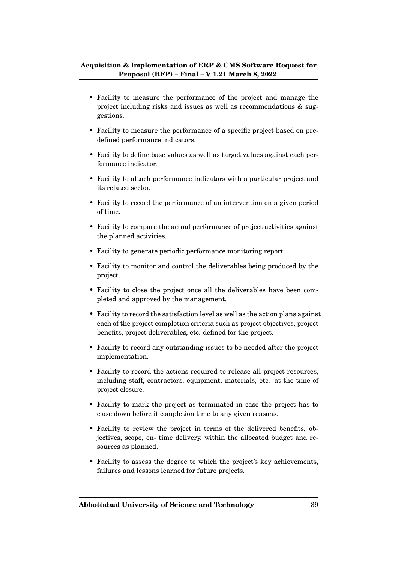- Facility to measure the performance of the project and manage the project including risks and issues as well as recommendations & suggestions.
- Facility to measure the performance of a specific project based on predefined performance indicators.
- Facility to define base values as well as target values against each performance indicator.
- Facility to attach performance indicators with a particular project and its related sector.
- Facility to record the performance of an intervention on a given period of time.
- Facility to compare the actual performance of project activities against the planned activities.
- Facility to generate periodic performance monitoring report.
- Facility to monitor and control the deliverables being produced by the project.
- Facility to close the project once all the deliverables have been completed and approved by the management.
- Facility to record the satisfaction level as well as the action plans against each of the project completion criteria such as project objectives, project benefits, project deliverables, etc. defined for the project.
- Facility to record any outstanding issues to be needed after the project implementation.
- Facility to record the actions required to release all project resources, including staff, contractors, equipment, materials, etc. at the time of project closure.
- Facility to mark the project as terminated in case the project has to close down before it completion time to any given reasons.
- Facility to review the project in terms of the delivered benefits, objectives, scope, on- time delivery, within the allocated budget and resources as planned.
- Facility to assess the degree to which the project's key achievements, failures and lessons learned for future projects.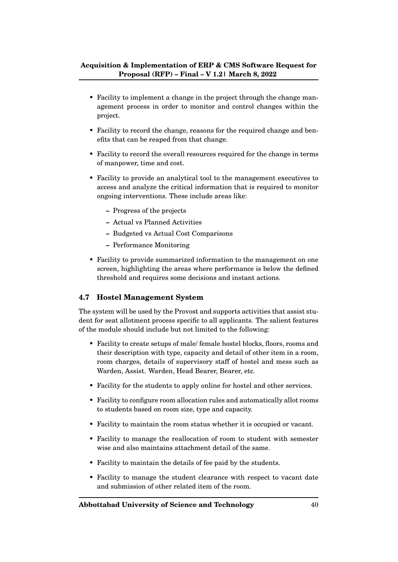- Facility to implement a change in the project through the change management process in order to monitor and control changes within the project.
- Facility to record the change, reasons for the required change and benefits that can be reaped from that change.
- Facility to record the overall resources required for the change in terms of manpower, time and cost.
- Facility to provide an analytical tool to the management executives to access and analyze the critical information that is required to monitor ongoing interventions. These include areas like:
	- **–** Progress of the projects
	- **–** Actual vs Planned Activities
	- **–** Budgeted vs Actual Cost Comparisons
	- **–** Performance Monitoring
- Facility to provide summarized information to the management on one screen, highlighting the areas where performance is below the defined threshold and requires some decisions and instant actions.

# **4.7 Hostel Management System**

The system will be used by the Provost and supports activities that assist student for seat allotment process specific to all applicants. The salient features of the module should include but not limited to the following:

- Facility to create setups of male/ female hostel blocks, floors, rooms and their description with type, capacity and detail of other item in a room, room charges, details of supervisory staff of hostel and mess such as Warden, Assist. Warden, Head Bearer, Bearer, etc.
- Facility for the students to apply online for hostel and other services.
- Facility to configure room allocation rules and automatically allot rooms to students based on room size, type and capacity.
- Facility to maintain the room status whether it is occupied or vacant.
- Facility to manage the reallocation of room to student with semester wise and also maintains attachment detail of the same.
- Facility to maintain the details of fee paid by the students.
- Facility to manage the student clearance with respect to vacant date and submission of other related item of the room.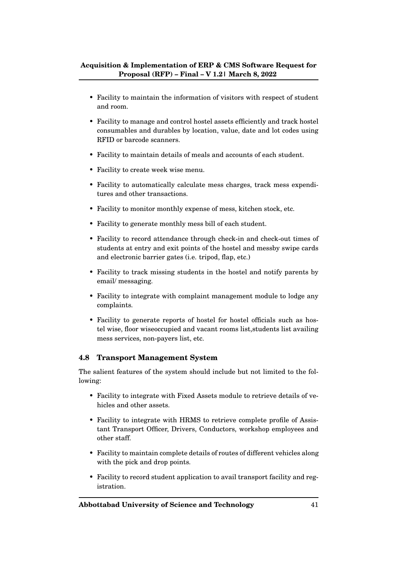- Facility to maintain the information of visitors with respect of student and room.
- Facility to manage and control hostel assets efficiently and track hostel consumables and durables by location, value, date and lot codes using RFID or barcode scanners.
- Facility to maintain details of meals and accounts of each student.
- Facility to create week wise menu.
- Facility to automatically calculate mess charges, track mess expenditures and other transactions.
- Facility to monitor monthly expense of mess, kitchen stock, etc.
- Facility to generate monthly mess bill of each student.
- Facility to record attendance through check-in and check-out times of students at entry and exit points of the hostel and messby swipe cards and electronic barrier gates (i.e. tripod, flap, etc.)
- Facility to track missing students in the hostel and notify parents by email/ messaging.
- Facility to integrate with complaint management module to lodge any complaints.
- Facility to generate reports of hostel for hostel officials such as hostel wise, floor wiseoccupied and vacant rooms list,students list availing mess services, non-payers list, etc.

#### **4.8 Transport Management System**

The salient features of the system should include but not limited to the following:

- Facility to integrate with Fixed Assets module to retrieve details of vehicles and other assets.
- Facility to integrate with HRMS to retrieve complete profile of Assistant Transport Officer, Drivers, Conductors, workshop employees and other staff.
- Facility to maintain complete details of routes of different vehicles along with the pick and drop points.
- Facility to record student application to avail transport facility and registration.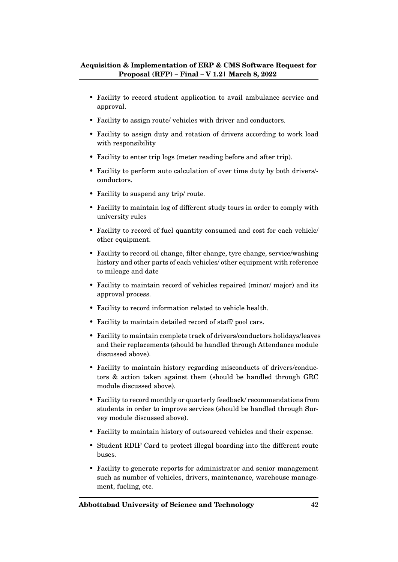- Facility to record student application to avail ambulance service and approval.
- Facility to assign route/ vehicles with driver and conductors.
- Facility to assign duty and rotation of drivers according to work load with responsibility
- Facility to enter trip logs (meter reading before and after trip).
- Facility to perform auto calculation of over time duty by both drivers/ conductors.
- Facility to suspend any trip/ route.
- Facility to maintain log of different study tours in order to comply with university rules
- Facility to record of fuel quantity consumed and cost for each vehicle/ other equipment.
- Facility to record oil change, filter change, tyre change, service/washing history and other parts of each vehicles/ other equipment with reference to mileage and date
- Facility to maintain record of vehicles repaired (minor/ major) and its approval process.
- Facility to record information related to vehicle health.
- Facility to maintain detailed record of staff/ pool cars.
- Facility to maintain complete track of drivers/conductors holidays/leaves and their replacements (should be handled through Attendance module discussed above).
- Facility to maintain history regarding misconducts of drivers/conductors & action taken against them (should be handled through GRC module discussed above).
- Facility to record monthly or quarterly feedback/ recommendations from students in order to improve services (should be handled through Survey module discussed above).
- Facility to maintain history of outsourced vehicles and their expense.
- Student RDIF Card to protect illegal boarding into the different route buses.
- Facility to generate reports for administrator and senior management such as number of vehicles, drivers, maintenance, warehouse management, fueling, etc.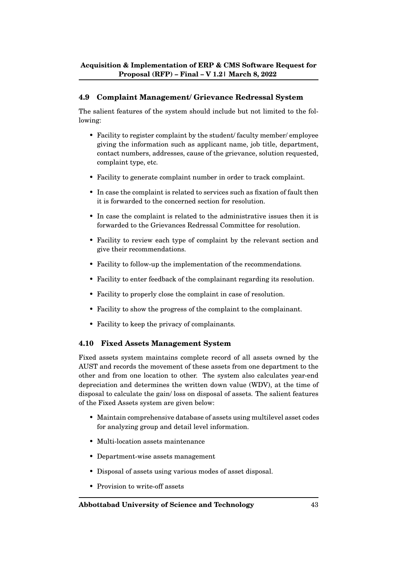# **4.9 Complaint Management/ Grievance Redressal System**

The salient features of the system should include but not limited to the following:

- Facility to register complaint by the student/ faculty member/ employee giving the information such as applicant name, job title, department, contact numbers, addresses, cause of the grievance, solution requested, complaint type, etc.
- Facility to generate complaint number in order to track complaint.
- In case the complaint is related to services such as fixation of fault then it is forwarded to the concerned section for resolution.
- In case the complaint is related to the administrative issues then it is forwarded to the Grievances Redressal Committee for resolution.
- Facility to review each type of complaint by the relevant section and give their recommendations.
- Facility to follow-up the implementation of the recommendations.
- Facility to enter feedback of the complainant regarding its resolution.
- Facility to properly close the complaint in case of resolution.
- Facility to show the progress of the complaint to the complainant.
- Facility to keep the privacy of complainants.

#### **4.10 Fixed Assets Management System**

Fixed assets system maintains complete record of all assets owned by the AUST and records the movement of these assets from one department to the other and from one location to other. The system also calculates year-end depreciation and determines the written down value (WDV), at the time of disposal to calculate the gain/ loss on disposal of assets. The salient features of the Fixed Assets system are given below:

- Maintain comprehensive database of assets using multilevel asset codes for analyzing group and detail level information.
- Multi-location assets maintenance
- Department-wise assets management
- Disposal of assets using various modes of asset disposal.
- Provision to write-off assets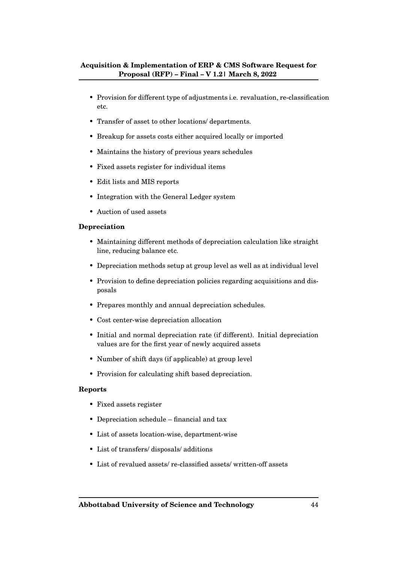- Provision for different type of adjustments i.e. revaluation, re-classification etc.
- Transfer of asset to other locations/ departments.
- Breakup for assets costs either acquired locally or imported
- Maintains the history of previous years schedules
- Fixed assets register for individual items
- Edit lists and MIS reports
- Integration with the General Ledger system
- Auction of used assets

#### **Depreciation**

- Maintaining different methods of depreciation calculation like straight line, reducing balance etc.
- Depreciation methods setup at group level as well as at individual level
- Provision to define depreciation policies regarding acquisitions and disposals
- Prepares monthly and annual depreciation schedules.
- Cost center-wise depreciation allocation
- Initial and normal depreciation rate (if different). Initial depreciation values are for the first year of newly acquired assets
- Number of shift days (if applicable) at group level
- Provision for calculating shift based depreciation.

#### **Reports**

- Fixed assets register
- Depreciation schedule financial and tax
- List of assets location-wise, department-wise
- List of transfers/ disposals/ additions
- List of revalued assets/ re-classified assets/ written-off assets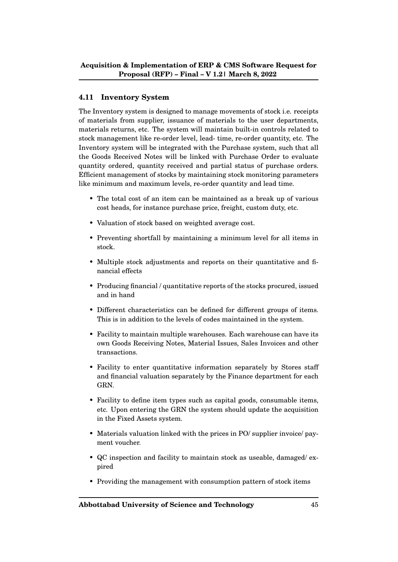# **4.11 Inventory System**

The Inventory system is designed to manage movements of stock i.e. receipts of materials from supplier, issuance of materials to the user departments, materials returns, etc. The system will maintain built-in controls related to stock management like re-order level, lead- time, re-order quantity, etc. The Inventory system will be integrated with the Purchase system, such that all the Goods Received Notes will be linked with Purchase Order to evaluate quantity ordered, quantity received and partial status of purchase orders. Efficient management of stocks by maintaining stock monitoring parameters like minimum and maximum levels, re-order quantity and lead time.

- The total cost of an item can be maintained as a break up of various cost heads, for instance purchase price, freight, custom duty, etc.
- Valuation of stock based on weighted average cost.
- Preventing shortfall by maintaining a minimum level for all items in stock.
- Multiple stock adjustments and reports on their quantitative and financial effects
- Producing financial / quantitative reports of the stocks procured, issued and in hand
- Different characteristics can be defined for different groups of items. This is in addition to the levels of codes maintained in the system.
- Facility to maintain multiple warehouses. Each warehouse can have its own Goods Receiving Notes, Material Issues, Sales Invoices and other transactions.
- Facility to enter quantitative information separately by Stores staff and financial valuation separately by the Finance department for each GRN.
- Facility to define item types such as capital goods, consumable items, etc. Upon entering the GRN the system should update the acquisition in the Fixed Assets system.
- Materials valuation linked with the prices in PO/ supplier invoice/ payment voucher.
- QC inspection and facility to maintain stock as useable, damaged/ expired
- Providing the management with consumption pattern of stock items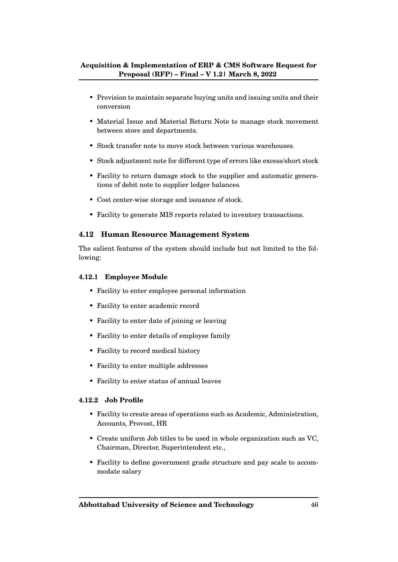- Provision to maintain separate buying units and issuing units and their conversion
- Material Issue and Material Return Note to manage stock movement between store and departments.
- Stock transfer note to move stock between various warehouses.
- Stock adjustment note for different type of errors like excess/short stock
- Facility to return damage stock to the supplier and automatic generations of debit note to supplier ledger balances.
- Cost center-wise storage and issuance of stock.
- Facility to generate MIS reports related to inventory transactions.

#### **4.12 Human Resource Management System**

The salient features of the system should include but not limited to the following:

#### **4.12.1 Employee Module**

- Facility to enter employee personal information
- Facility to enter academic record
- Facility to enter date of joining or leaving
- Facility to enter details of employee family
- Facility to record medical history
- Facility to enter multiple addresses
- Facility to enter status of annual leaves

#### **4.12.2 Job Profile**

- Facility to create areas of operations such as Academic, Administration, Accounts, Provost, HR
- Create uniform Job titles to be used in whole organization such as VC, Chairman, Director, Superintendent etc.,
- Facility to define government grade structure and pay scale to accommodate salary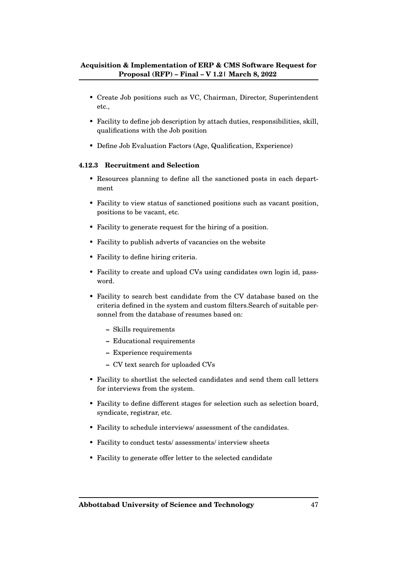- Create Job positions such as VC, Chairman, Director, Superintendent etc.,
- Facility to define job description by attach duties, responsibilities, skill, qualifications with the Job position
- Define Job Evaluation Factors (Age, Qualification, Experience)

#### **4.12.3 Recruitment and Selection**

- Resources planning to define all the sanctioned posts in each department
- Facility to view status of sanctioned positions such as vacant position, positions to be vacant, etc.
- Facility to generate request for the hiring of a position.
- Facility to publish adverts of vacancies on the website
- Facility to define hiring criteria.
- Facility to create and upload CVs using candidates own login id, password.
- Facility to search best candidate from the CV database based on the criteria defined in the system and custom filters.Search of suitable personnel from the database of resumes based on:
	- **–** Skills requirements
	- **–** Educational requirements
	- **–** Experience requirements
	- **–** CV text search for uploaded CVs
- Facility to shortlist the selected candidates and send them call letters for interviews from the system.
- Facility to define different stages for selection such as selection board, syndicate, registrar, etc.
- Facility to schedule interviews/ assessment of the candidates.
- Facility to conduct tests/ assessments/ interview sheets
- Facility to generate offer letter to the selected candidate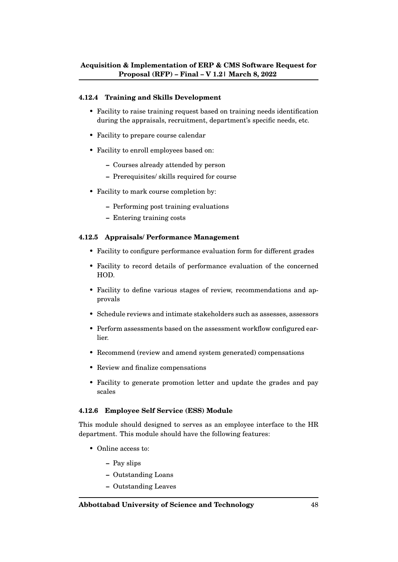#### **4.12.4 Training and Skills Development**

- Facility to raise training request based on training needs identification during the appraisals, recruitment, department's specific needs, etc.
- Facility to prepare course calendar
- Facility to enroll employees based on:
	- **–** Courses already attended by person
	- **–** Prerequisites/ skills required for course
- Facility to mark course completion by:
	- **–** Performing post training evaluations
	- **–** Entering training costs

#### **4.12.5 Appraisals/ Performance Management**

- Facility to configure performance evaluation form for different grades
- Facility to record details of performance evaluation of the concerned HOD.
- Facility to define various stages of review, recommendations and approvals
- Schedule reviews and intimate stakeholders such as assesses, assessors
- Perform assessments based on the assessment workflow configured earlier.
- Recommend (review and amend system generated) compensations
- Review and finalize compensations
- Facility to generate promotion letter and update the grades and pay scales

#### **4.12.6 Employee Self Service (ESS) Module**

This module should designed to serves as an employee interface to the HR department. This module should have the following features:

- Online access to:
	- **–** Pay slips
	- **–** Outstanding Loans
	- **–** Outstanding Leaves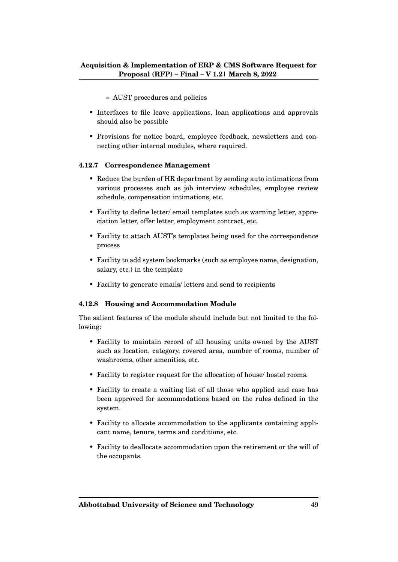**–** AUST procedures and policies

- Interfaces to file leave applications, loan applications and approvals should also be possible
- Provisions for notice board, employee feedback, newsletters and connecting other internal modules, where required.

#### **4.12.7 Correspondence Management**

- Reduce the burden of HR department by sending auto intimations from various processes such as job interview schedules, employee review schedule, compensation intimations, etc.
- Facility to define letter/ email templates such as warning letter, appreciation letter, offer letter, employment contract, etc.
- Facility to attach AUST's templates being used for the correspondence process
- Facility to add system bookmarks (such as employee name, designation, salary, etc.) in the template
- Facility to generate emails/ letters and send to recipients

#### **4.12.8 Housing and Accommodation Module**

The salient features of the module should include but not limited to the following:

- Facility to maintain record of all housing units owned by the AUST such as location, category, covered area, number of rooms, number of washrooms, other amenities, etc.
- Facility to register request for the allocation of house/ hostel rooms.
- Facility to create a waiting list of all those who applied and case has been approved for accommodations based on the rules defined in the system.
- Facility to allocate accommodation to the applicants containing applicant name, tenure, terms and conditions, etc.
- Facility to deallocate accommodation upon the retirement or the will of the occupants.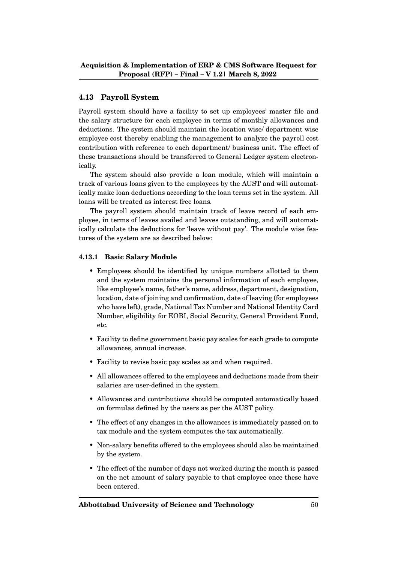# **4.13 Payroll System**

Payroll system should have a facility to set up employees' master file and the salary structure for each employee in terms of monthly allowances and deductions. The system should maintain the location wise/ department wise employee cost thereby enabling the management to analyze the payroll cost contribution with reference to each department/ business unit. The effect of these transactions should be transferred to General Ledger system electronically.

The system should also provide a loan module, which will maintain a track of various loans given to the employees by the AUST and will automatically make loan deductions according to the loan terms set in the system. All loans will be treated as interest free loans.

The payroll system should maintain track of leave record of each employee, in terms of leaves availed and leaves outstanding, and will automatically calculate the deductions for 'leave without pay'. The module wise features of the system are as described below:

#### **4.13.1 Basic Salary Module**

- Employees should be identified by unique numbers allotted to them and the system maintains the personal information of each employee, like employee's name, father's name, address, department, designation, location, date of joining and confirmation, date of leaving (for employees who have left), grade, National Tax Number and National Identity Card Number, eligibility for EOBI, Social Security, General Provident Fund, etc.
- Facility to define government basic pay scales for each grade to compute allowances, annual increase.
- Facility to revise basic pay scales as and when required.
- All allowances offered to the employees and deductions made from their salaries are user-defined in the system.
- Allowances and contributions should be computed automatically based on formulas defined by the users as per the AUST policy.
- The effect of any changes in the allowances is immediately passed on to tax module and the system computes the tax automatically.
- Non-salary benefits offered to the employees should also be maintained by the system.
- The effect of the number of days not worked during the month is passed on the net amount of salary payable to that employee once these have been entered.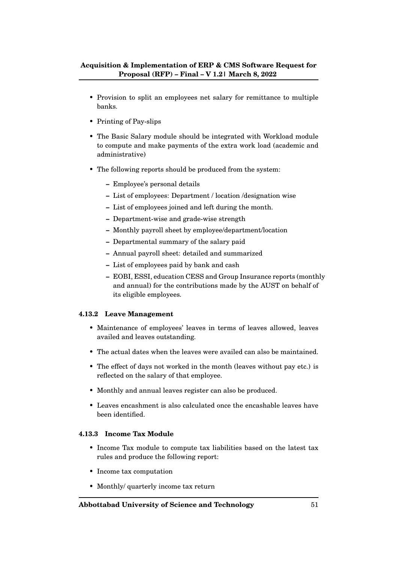- Provision to split an employees net salary for remittance to multiple banks.
- Printing of Pay-slips
- The Basic Salary module should be integrated with Workload module to compute and make payments of the extra work load (academic and administrative)
- The following reports should be produced from the system:
	- **–** Employee's personal details
	- **–** List of employees: Department / location /designation wise
	- **–** List of employees joined and left during the month.
	- **–** Department-wise and grade-wise strength
	- **–** Monthly payroll sheet by employee/department/location
	- **–** Departmental summary of the salary paid
	- **–** Annual payroll sheet: detailed and summarized
	- **–** List of employees paid by bank and cash
	- **–** EOBI, ESSI, education CESS and Group Insurance reports (monthly and annual) for the contributions made by the AUST on behalf of its eligible employees.

#### **4.13.2 Leave Management**

- Maintenance of employees' leaves in terms of leaves allowed, leaves availed and leaves outstanding.
- The actual dates when the leaves were availed can also be maintained.
- The effect of days not worked in the month (leaves without pay etc.) is reflected on the salary of that employee.
- Monthly and annual leaves register can also be produced.
- Leaves encashment is also calculated once the encashable leaves have been identified.

#### **4.13.3 Income Tax Module**

- Income Tax module to compute tax liabilities based on the latest tax rules and produce the following report:
- Income tax computation
- Monthly/ quarterly income tax return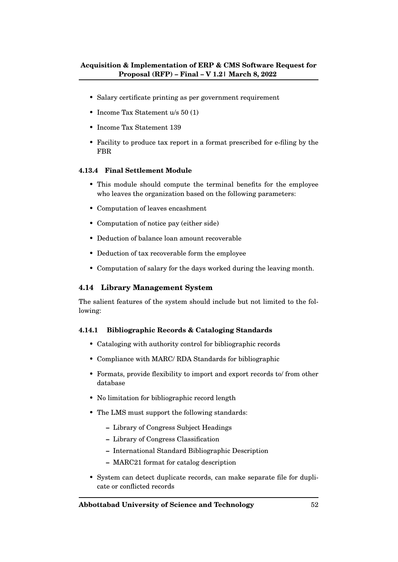- Salary certificate printing as per government requirement
- Income Tax Statement u/s 50 (1)
- Income Tax Statement 139
- Facility to produce tax report in a format prescribed for e-filing by the FBR

#### **4.13.4 Final Settlement Module**

- This module should compute the terminal benefits for the employee who leaves the organization based on the following parameters:
- Computation of leaves encashment
- Computation of notice pay (either side)
- Deduction of balance loan amount recoverable
- Deduction of tax recoverable form the employee
- Computation of salary for the days worked during the leaving month.

#### **4.14 Library Management System**

The salient features of the system should include but not limited to the following:

#### **4.14.1 Bibliographic Records & Cataloging Standards**

- Cataloging with authority control for bibliographic records
- Compliance with MARC/ RDA Standards for bibliographic
- Formats, provide flexibility to import and export records to/ from other database
- No limitation for bibliographic record length
- The LMS must support the following standards:
	- **–** Library of Congress Subject Headings
	- **–** Library of Congress Classification
	- **–** International Standard Bibliographic Description
	- **–** MARC21 format for catalog description
- System can detect duplicate records, can make separate file for duplicate or conflicted records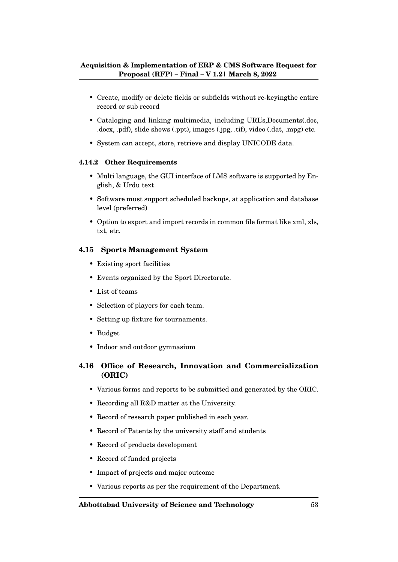- Create, modify or delete fields or subfields without re-keyingthe entire record or sub record
- Cataloging and linking multimedia, including URL's,Documents(.doc, .docx, .pdf), slide shows (.ppt), images (.jpg, .tif), video (.dat, .mpg) etc.
- System can accept, store, retrieve and display UNICODE data.

#### **4.14.2 Other Requirements**

- Multi language, the GUI interface of LMS software is supported by English, & Urdu text.
- Software must support scheduled backups, at application and database level (preferred)
- Option to export and import records in common file format like xml, xls, txt, etc.

# **4.15 Sports Management System**

- Existing sport facilities
- Events organized by the Sport Directorate.
- List of teams
- Selection of players for each team.
- Setting up fixture for tournaments.
- Budget
- Indoor and outdoor gymnasium

# **4.16 Office of Research, Innovation and Commercialization (ORIC)**

- Various forms and reports to be submitted and generated by the ORIC.
- Recording all R&D matter at the University.
- Record of research paper published in each year.
- Record of Patents by the university staff and students
- Record of products development
- Record of funded projects
- Impact of projects and major outcome
- Various reports as per the requirement of the Department.

#### **Abbottabad University of Science and Technology** 53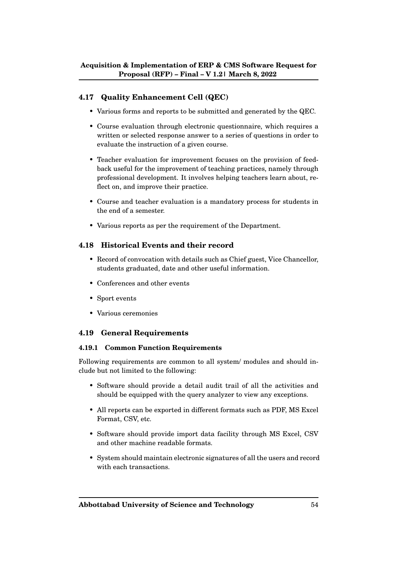# **4.17 Quality Enhancement Cell (QEC)**

- Various forms and reports to be submitted and generated by the QEC.
- Course evaluation through electronic questionnaire, which requires a written or selected response answer to a series of questions in order to evaluate the instruction of a given course.
- Teacher evaluation for improvement focuses on the provision of feedback useful for the improvement of teaching practices, namely through professional development. It involves helping teachers learn about, reflect on, and improve their practice.
- Course and teacher evaluation is a mandatory process for students in the end of a semester.
- Various reports as per the requirement of the Department.

#### **4.18 Historical Events and their record**

- Record of convocation with details such as Chief guest, Vice Chancellor, students graduated, date and other useful information.
- Conferences and other events
- Sport events
- Various ceremonies

#### **4.19 General Requirements**

#### **4.19.1 Common Function Requirements**

Following requirements are common to all system/ modules and should include but not limited to the following:

- Software should provide a detail audit trail of all the activities and should be equipped with the query analyzer to view any exceptions.
- All reports can be exported in different formats such as PDF, MS Excel Format, CSV, etc.
- Software should provide import data facility through MS Excel, CSV and other machine readable formats.
- System should maintain electronic signatures of all the users and record with each transactions.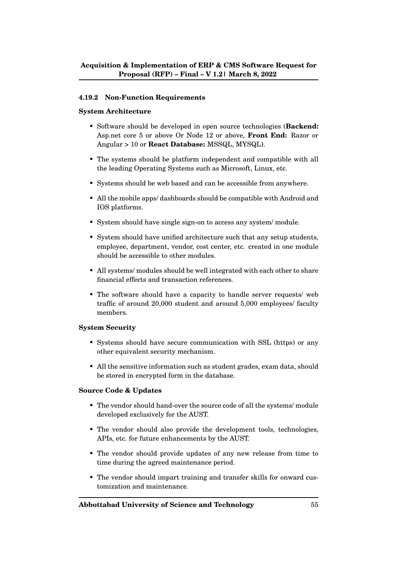#### **4.19.2 Non-Function Requirements**

#### **System Architecture**

- Software should be developed in open source technologies (**Backend:** Asp.net core 5 or above Or Node 12 or above, **Front End:** Razor or Angular > 10 or **React Database:** MSSQL, MYSQL).
- The systems should be platform independent and compatible with all the leading Operating Systems such as Microsoft, Linux, etc.
- Systems should be web based and can be accessible from anywhere.
- All the mobile apps/ dashboards should be compatible with Android and IOS platforms.
- System should have single sign-on to access any system/ module.
- System should have unified architecture such that any setup students, employee, department, vendor, cost center, etc. created in one module should be accessible to other modules.
- All systems/ modules should be well integrated with each other to share financial effects and transaction references.
- The software should have a capacity to handle server requests/ web traffic of around 20,000 student and around 5,000 employees/ faculty members.

#### **System Security**

- Systems should have secure communication with SSL (https) or any other equivalent security mechanism.
- All the sensitive information such as student grades, exam data, should be stored in encrypted form in the database.

#### **Source Code & Updates**

- The vendor should hand-over the source code of all the systems/ module developed exclusively for the AUST.
- The vendor should also provide the development tools, technologies, APIs, etc. for future enhancements by the AUST.
- The vendor should provide updates of any new release from time to time during the agreed maintenance period.
- The vendor should impart training and transfer skills for onward customization and maintenance.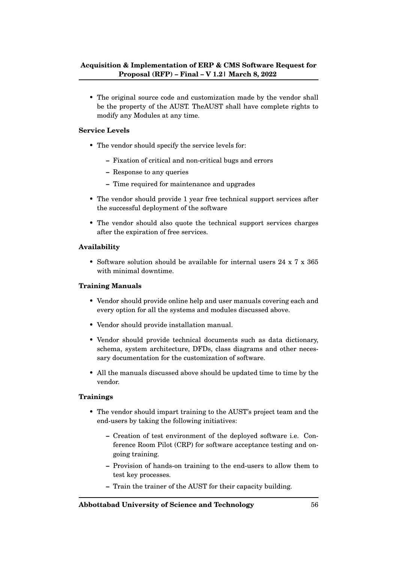• The original source code and customization made by the vendor shall be the property of the AUST. TheAUST shall have complete rights to modify any Modules at any time.

#### **Service Levels**

- The vendor should specify the service levels for:
	- **–** Fixation of critical and non-critical bugs and errors
	- **–** Response to any queries
	- **–** Time required for maintenance and upgrades
- The vendor should provide 1 year free technical support services after the successful deployment of the software
- The vendor should also quote the technical support services charges after the expiration of free services.

#### **Availability**

• Software solution should be available for internal users 24 x 7 x 365 with minimal downtime.

#### **Training Manuals**

- Vendor should provide online help and user manuals covering each and every option for all the systems and modules discussed above.
- Vendor should provide installation manual.
- Vendor should provide technical documents such as data dictionary, schema, system architecture, DFDs, class diagrams and other necessary documentation for the customization of software.
- All the manuals discussed above should be updated time to time by the vendor.

#### **Trainings**

- The vendor should impart training to the AUST's project team and the end-users by taking the following initiatives:
	- **–** Creation of test environment of the deployed software i.e. Conference Room Pilot (CRP) for software acceptance testing and ongoing training.
	- **–** Provision of hands-on training to the end-users to allow them to test key processes.
	- **–** Train the trainer of the AUST for their capacity building.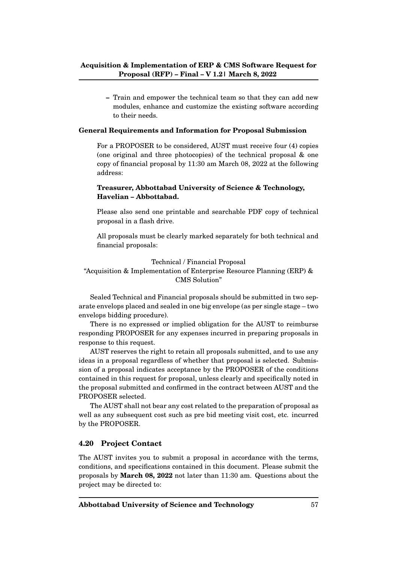**–** Train and empower the technical team so that they can add new modules, enhance and customize the existing software according to their needs.

#### **General Requirements and Information for Proposal Submission**

For a PROPOSER to be considered, AUST must receive four (4) copies (one original and three photocopies) of the technical proposal & one copy of financial proposal by 11:30 am March 08, 2022 at the following address:

#### **Treasurer, Abbottabad University of Science & Technology, Havelian – Abbottabad.**

Please also send one printable and searchable PDF copy of technical proposal in a flash drive.

All proposals must be clearly marked separately for both technical and financial proposals:

#### Technical / Financial Proposal "Acquisition & Implementation of Enterprise Resource Planning (ERP) & CMS Solution"

Sealed Technical and Financial proposals should be submitted in two separate envelops placed and sealed in one big envelope (as per single stage – two envelops bidding procedure).

There is no expressed or implied obligation for the AUST to reimburse responding PROPOSER for any expenses incurred in preparing proposals in response to this request.

AUST reserves the right to retain all proposals submitted, and to use any ideas in a proposal regardless of whether that proposal is selected. Submission of a proposal indicates acceptance by the PROPOSER of the conditions contained in this request for proposal, unless clearly and specifically noted in the proposal submitted and confirmed in the contract between AUST and the PROPOSER selected.

The AUST shall not bear any cost related to the preparation of proposal as well as any subsequent cost such as pre bid meeting visit cost, etc. incurred by the PROPOSER.

#### **4.20 Project Contact**

The AUST invites you to submit a proposal in accordance with the terms, conditions, and specifications contained in this document. Please submit the proposals by **March 08, 2022** not later than 11:30 am. Questions about the project may be directed to: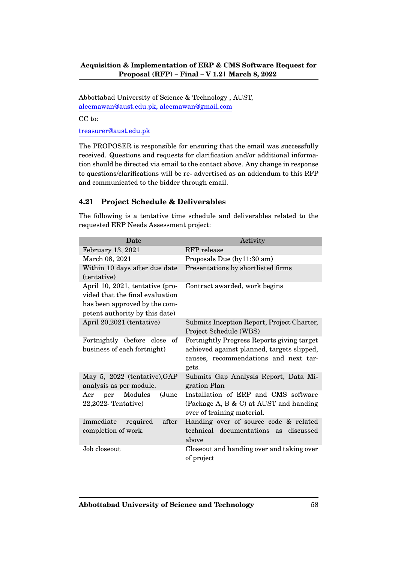Abbottabad University of Science & Technology , AUST, aleemawan@aust.edu.pk, aleemawan@gmail.com

CC to:

treasurer@aust.edu.pk

The PROPOSER is responsible for ensuring that the email was successfully received. Questions and requests for clarification and/or additional information should be directed via email to the contact above. Any change in response to questions/clarifications will be re- advertised as an addendum to this RFP and communicated to the bidder through email.

#### **4.21 Project Schedule & Deliverables**

Date Activity February 13, 2021 RFP release March 08, 2021 Proposals Due (by11:30 am) Within 10 days after due date (tentative) Presentations by shortlisted firms April 10, 2021, tentative (provided that the final evaluation has been approved by the competent authority by this date) Contract awarded, work begins April 20,2021 (tentative) Submits Inception Report, Project Charter, Project Schedule (WBS) Fortnightly (before close of business of each fortnight) Fortnightly Progress Reports giving target achieved against planned, targets slipped, causes, recommendations and next targets. May 5, 2022 (tentative),GAP analysis as per module. Submits Gap Analysis Report, Data Migration Plan Aer per Modules (June 22,2022- Tentative) Installation of ERP and CMS software (Package A, B & C) at AUST and handing over of training material. Immediate required after completion of work. Handing over of source code & related technical documentations as discussed above Job closeout Closeout and handing over and taking over of project

The following is a tentative time schedule and deliverables related to the requested ERP Needs Assessment project: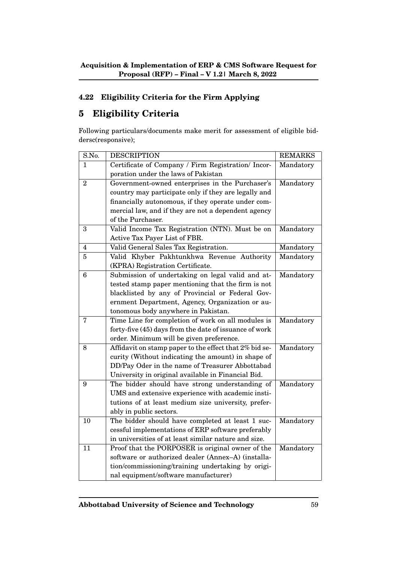# **4.22 Eligibility Criteria for the Firm Applying**

# **5 Eligibility Criteria**

Following particulars/documents make merit for assessment of eligible biddersc(responsive);

| S.No.          | <b>DESCRIPTION</b>                                     | <b>REMARKS</b> |
|----------------|--------------------------------------------------------|----------------|
| 1              | Certificate of Company / Firm Registration/ Incor-     | Mandatory      |
|                | poration under the laws of Pakistan                    |                |
| $\overline{2}$ | Government-owned enterprises in the Purchaser's        | Mandatory      |
|                | country may participate only if they are legally and   |                |
|                | financially autonomous, if they operate under com-     |                |
|                | mercial law, and if they are not a dependent agency    |                |
|                | of the Purchaser.                                      |                |
| 3              | Valid Income Tax Registration (NTN). Must be on        | Mandatory      |
|                | Active Tax Payer List of FBR.                          |                |
| 4              | Valid General Sales Tax Registration.                  | Mandatory      |
| 5              | Valid Khyber Pakhtunkhwa Revenue Authority             | Mandatory      |
|                | (KPRA) Registration Certificate.                       |                |
| 6              | Submission of undertaking on legal valid and at-       | Mandatory      |
|                | tested stamp paper mentioning that the firm is not     |                |
|                | blacklisted by any of Provincial or Federal Gov-       |                |
|                | ernment Department, Agency, Organization or au-        |                |
|                | tonomous body anywhere in Pakistan.                    |                |
| $\overline{7}$ | Time Line for completion of work on all modules is     | Mandatory      |
|                | forty-five (45) days from the date of issuance of work |                |
|                | order. Minimum will be given preference.               |                |
| 8              | Affidavit on stamp paper to the effect that 2% bid se- | Mandatory      |
|                | curity (Without indicating the amount) in shape of     |                |
|                | DD/Pay Oder in the name of Treasurer Abbottabad        |                |
|                | University in original available in Financial Bid.     |                |
| 9              | The bidder should have strong understanding of         | Mandatory      |
|                | UMS and extensive experience with academic insti-      |                |
|                | tutions of at least medium size university, prefer-    |                |
|                | ably in public sectors.                                |                |
| 10             | The bidder should have completed at least 1 suc-       | Mandatory      |
|                | cessful implementations of ERP software preferably     |                |
|                | in universities of at least similar nature and size.   |                |
| 11             | Proof that the PORPOSER is original owner of the       | Mandatory      |
|                | software or authorized dealer (Annex-A) (installa-     |                |
|                | tion/commissioning/training undertaking by origi-      |                |
|                | nal equipment/software manufacturer)                   |                |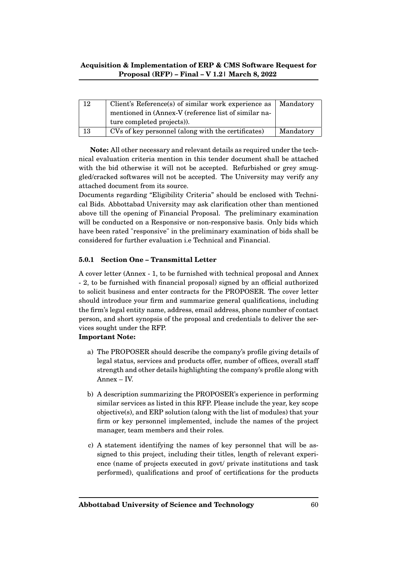| 12 | Client's Reference(s) of similar work experience as  | Mandatory |
|----|------------------------------------------------------|-----------|
|    | mentioned in (Annex-V (reference list of similar na- |           |
|    | ture completed projects).                            |           |
| 13 | CVs of key personnel (along with the certificates)   | Mandatory |

**Note:** All other necessary and relevant details as required under the technical evaluation criteria mention in this tender document shall be attached with the bid otherwise it will not be accepted. Refurbished or grey smuggled/cracked softwares will not be accepted. The University may verify any attached document from its source.

Documents regarding "Eligibility Criteria" should be enclosed with Technical Bids. Abbottabad University may ask clarification other than mentioned above till the opening of Financial Proposal. The preliminary examination will be conducted on a Responsive or non-responsive basis. Only bids which have been rated "responsive" in the preliminary examination of bids shall be considered for further evaluation i.e Technical and Financial.

#### **5.0.1 Section One – Transmittal Letter**

A cover letter (Annex - 1, to be furnished with technical proposal and Annex - 2, to be furnished with financial proposal) signed by an official authorized to solicit business and enter contracts for the PROPOSER. The cover letter should introduce your firm and summarize general qualifications, including the firm's legal entity name, address, email address, phone number of contact person, and short synopsis of the proposal and credentials to deliver the services sought under the RFP.

#### **Important Note:**

- a) The PROPOSER should describe the company's profile giving details of legal status, services and products offer, number of offices, overall staff strength and other details highlighting the company's profile along with Annex – IV.
- b) A description summarizing the PROPOSER's experience in performing similar services as listed in this RFP. Please include the year, key scope objective(s), and ERP solution (along with the list of modules) that your firm or key personnel implemented, include the names of the project manager, team members and their roles.
- c) A statement identifying the names of key personnel that will be assigned to this project, including their titles, length of relevant experience (name of projects executed in govt/ private institutions and task performed), qualifications and proof of certifications for the products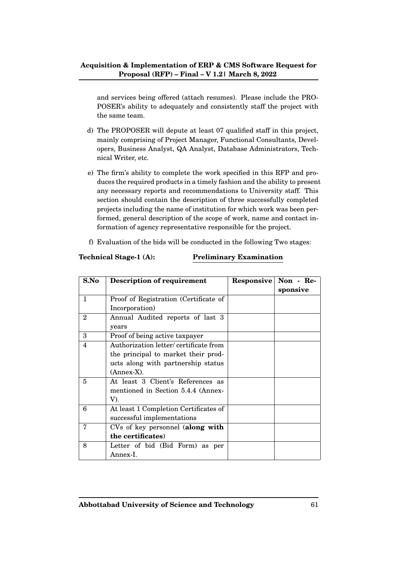and services being offered (attach resumes). Please include the PRO-POSER's ability to adequately and consistently staff the project with the same team.

- d) The PROPOSER will depute at least 07 qualified staff in this project, mainly comprising of Project Manager, Functional Consultants, Developers, Business Analyst, QA Analyst, Database Administrators, Technical Writer, etc.
- e) The firm's ability to complete the work specified in this RFP and produces the required products in a timely fashion and the ability to present any necessary reports and recommendations to University staff. This section should contain the description of three successfully completed projects including the name of institution for which work was been performed, general description of the scope of work, name and contact information of agency representative responsible for the project.
- f) Evaluation of the bids will be conducted in the following Two stages:

#### **Technical Stage-1 (A): Preliminary Examination**

| S.No           | <b>Description of requirement</b>     | Responsive | Non - Re- |
|----------------|---------------------------------------|------------|-----------|
|                |                                       |            | sponsive  |
| $\mathbf{1}$   | Proof of Registration (Certificate of |            |           |
|                | Incorporation)                        |            |           |
| $\overline{2}$ | Annual Audited reports of last 3      |            |           |
|                | years                                 |            |           |
| 3              | Proof of being active taxpayer        |            |           |
| 4              | Authorization letter/certificate from |            |           |
|                | the principal to market their prod-   |            |           |
|                | ucts along with partnership status    |            |           |
|                | (Annex-X).                            |            |           |
| 5              | At least 3 Client's References as     |            |           |
|                | mentioned in Section 5.4.4 (Annex-    |            |           |
|                | V).                                   |            |           |
| 6              | At least 1 Completion Certificates of |            |           |
|                | successful implementations            |            |           |
| 7              | CVs of key personnel (along with      |            |           |
|                | the certificates)                     |            |           |
| 8              | Letter of bid (Bid Form) as per       |            |           |
|                | Annex-I.                              |            |           |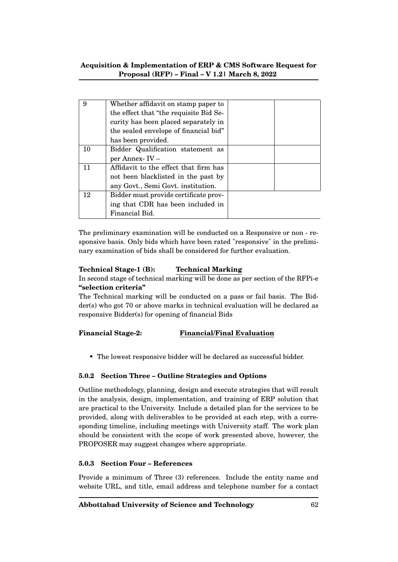| 9  | Whether affidavit on stamp paper to    |  |
|----|----------------------------------------|--|
|    | the effect that "the requisite Bid Se- |  |
|    | curity has been placed separately in   |  |
|    | the sealed envelope of financial bid"  |  |
|    | has been provided.                     |  |
| 10 | Bidder Qualification statement as      |  |
|    | per Annex-IV-                          |  |
| 11 | Affidavit to the effect that firm has  |  |
|    | not been blacklisted in the past by    |  |
|    | any Govt., Semi Govt. institution.     |  |
| 12 | Bidder must provide certificate prov-  |  |
|    | ing that CDR has been included in      |  |
|    | Financial Bid.                         |  |

The preliminary examination will be conducted on a Responsive or non - responsive basis. Only bids which have been rated "responsive" in the preliminary examination of bids shall be considered for further evaluation.

#### **Technical Stage-1 (B): Technical Marking**

In second stage of technical marking will be done as per section of the RFPi-e **"selection criteria"**

The Technical marking will be conducted on a pass or fail basis. The Bidder(s) who got 70 or above marks in technical evaluation will be declared as responsive Bidder(s) for opening of financial Bids

# **Financial Stage-2: Financial/Final Evaluation**

• The lowest responsive bidder will be declared as successful bidder.

#### **5.0.2 Section Three – Outline Strategies and Options**

Outline methodology, planning, design and execute strategies that will result in the analysis, design, implementation, and training of ERP solution that are practical to the University. Include a detailed plan for the services to be provided, along with deliverables to be provided at each step, with a corresponding timeline, including meetings with University staff. The work plan should be consistent with the scope of work presented above, however, the PROPOSER may suggest changes where appropriate.

#### **5.0.3 Section Four – References**

Provide a minimum of Three (3) references. Include the entity name and website URL, and title, email address and telephone number for a contact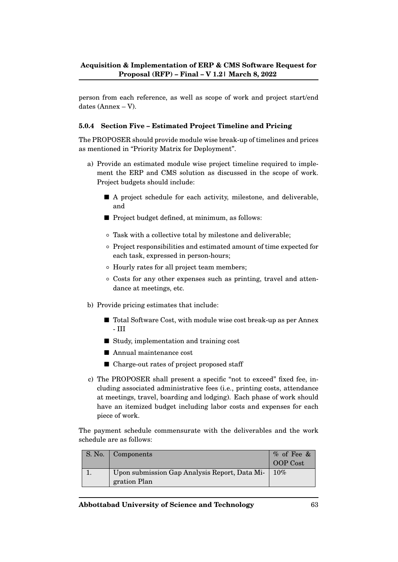person from each reference, as well as scope of work and project start/end dates (Annex – V).

#### **5.0.4 Section Five – Estimated Project Timeline and Pricing**

The PROPOSER should provide module wise break-up of timelines and prices as mentioned in "Priority Matrix for Deployment".

- a) Provide an estimated module wise project timeline required to implement the ERP and CMS solution as discussed in the scope of work. Project budgets should include:
	- A project schedule for each activity, milestone, and deliverable, and
	- Project budget defined, at minimum, as follows:
	- Task with a collective total by milestone and deliverable;
	- Project responsibilities and estimated amount of time expected for each task, expressed in person-hours;
	- Hourly rates for all project team members;
	- Costs for any other expenses such as printing, travel and attendance at meetings, etc.
- b) Provide pricing estimates that include:
	- Total Software Cost, with module wise cost break-up as per Annex - III
	- Study, implementation and training cost
	- Annual maintenance cost
	- Charge-out rates of project proposed staff
- c) The PROPOSER shall present a specific "not to exceed" fixed fee, including associated administrative fees (i.e., printing costs, attendance at meetings, travel, boarding and lodging). Each phase of work should have an itemized budget including labor costs and expenses for each piece of work.

The payment schedule commensurate with the deliverables and the work schedule are as follows:

| S. No. | Components                                                    | % of Fee & |
|--------|---------------------------------------------------------------|------------|
|        |                                                               | OOP Cost   |
|        | Upon submission Gap Analysis Report, Data Mi-<br>gration Plan | 10%        |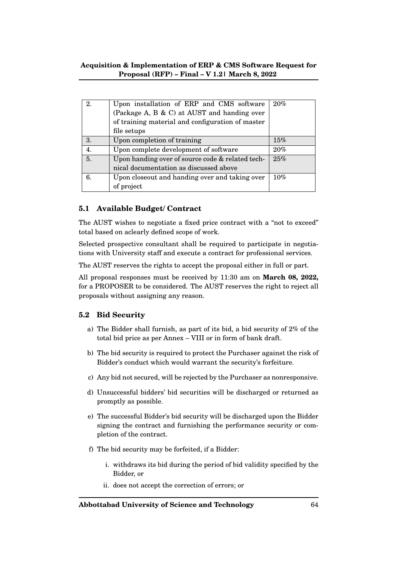| 2. | Upon installation of ERP and CMS software<br>(Package A, B & C) at AUST and handing over<br>of training material and configuration of master<br>file setups | $20\%$ |
|----|-------------------------------------------------------------------------------------------------------------------------------------------------------------|--------|
| 3. | Upon completion of training                                                                                                                                 | 15%    |
| 4. | Upon complete development of software                                                                                                                       | $20\%$ |
| 5. | Upon handing over of source code & related tech-                                                                                                            | 25%    |
|    | nical documentation as discussed above                                                                                                                      |        |
| 6. | Upon closeout and handing over and taking over                                                                                                              | 10%    |
|    | of project                                                                                                                                                  |        |

# **5.1 Available Budget/ Contract**

The AUST wishes to negotiate a fixed price contract with a "not to exceed" total based on aclearly defined scope of work.

Selected prospective consultant shall be required to participate in negotiations with University staff and execute a contract for professional services.

The AUST reserves the rights to accept the proposal either in full or part.

All proposal responses must be received by 11:30 am on **March 08, 2022,** for a PROPOSER to be considered. The AUST reserves the right to reject all proposals without assigning any reason.

# **5.2 Bid Security**

- a) The Bidder shall furnish, as part of its bid, a bid security of 2% of the total bid price as per Annex – VIII or in form of bank draft.
- b) The bid security is required to protect the Purchaser against the risk of Bidder's conduct which would warrant the security's forfeiture.
- c) Any bid not secured, will be rejected by the Purchaser as nonresponsive.
- d) Unsuccessful bidders' bid securities will be discharged or returned as promptly as possible.
- e) The successful Bidder's bid security will be discharged upon the Bidder signing the contract and furnishing the performance security or completion of the contract.
- f) The bid security may be forfeited, if a Bidder:
	- i. withdraws its bid during the period of bid validity specified by the Bidder, or
	- ii. does not accept the correction of errors; or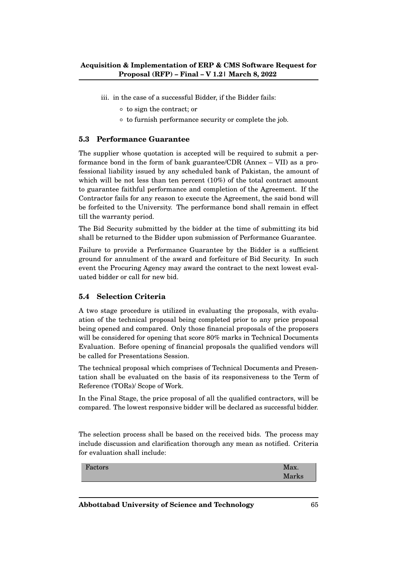- iii. in the case of a successful Bidder, if the Bidder fails:
	- to sign the contract; or
	- to furnish performance security or complete the job.

#### **5.3 Performance Guarantee**

The supplier whose quotation is accepted will be required to submit a performance bond in the form of bank guarantee/CDR (Annex – VII) as a professional liability issued by any scheduled bank of Pakistan, the amount of which will be not less than ten percent (10%) of the total contract amount to guarantee faithful performance and completion of the Agreement. If the Contractor fails for any reason to execute the Agreement, the said bond will be forfeited to the University. The performance bond shall remain in effect till the warranty period.

The Bid Security submitted by the bidder at the time of submitting its bid shall be returned to the Bidder upon submission of Performance Guarantee.

Failure to provide a Performance Guarantee by the Bidder is a sufficient ground for annulment of the award and forfeiture of Bid Security. In such event the Procuring Agency may award the contract to the next lowest evaluated bidder or call for new bid.

#### **5.4 Selection Criteria**

A two stage procedure is utilized in evaluating the proposals, with evaluation of the technical proposal being completed prior to any price proposal being opened and compared. Only those financial proposals of the proposers will be considered for opening that score 80% marks in Technical Documents Evaluation. Before opening of financial proposals the qualified vendors will be called for Presentations Session.

The technical proposal which comprises of Technical Documents and Presentation shall be evaluated on the basis of its responsiveness to the Term of Reference (TORs)/ Scope of Work.

In the Final Stage, the price proposal of all the qualified contractors, will be compared. The lowest responsive bidder will be declared as successful bidder.

The selection process shall be based on the received bids. The process may include discussion and clarification thorough any mean as notified. Criteria for evaluation shall include:

Factors Max. Marks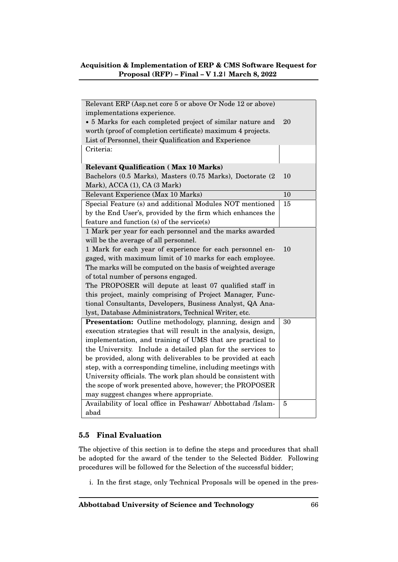| Relevant ERP (Asp.net core 5 or above Or Node 12 or above)     |    |
|----------------------------------------------------------------|----|
| implementations experience.                                    |    |
| • 5 Marks for each completed project of similar nature and     | 20 |
| worth (proof of completion certificate) maximum 4 projects.    |    |
| List of Personnel, their Qualification and Experience          |    |
| Criteria:                                                      |    |
| <b>Relevant Qualification (Max 10 Marks)</b>                   |    |
|                                                                | 10 |
| Bachelors (0.5 Marks), Masters (0.75 Marks), Doctorate (2      |    |
| Mark), ACCA (1), CA (3 Mark)                                   |    |
| Relevant Experience (Max 10 Marks)                             | 10 |
| Special Feature (s) and additional Modules NOT mentioned       | 15 |
| by the End User's, provided by the firm which enhances the     |    |
| feature and function (s) of the service(s)                     |    |
| 1 Mark per year for each personnel and the marks awarded       |    |
| will be the average of all personnel.                          |    |
| 1 Mark for each year of experience for each personnel en-      | 10 |
| gaged, with maximum limit of 10 marks for each employee.       |    |
| The marks will be computed on the basis of weighted average    |    |
| of total number of persons engaged.                            |    |
| The PROPOSER will depute at least 07 qualified staff in        |    |
| this project, mainly comprising of Project Manager, Func-      |    |
| tional Consultants, Developers, Business Analyst, QA Ana-      |    |
| lyst, Database Administrators, Technical Writer, etc.          |    |
| Presentation: Outline methodology, planning, design and        | 30 |
| execution strategies that will result in the analysis, design, |    |
| implementation, and training of UMS that are practical to      |    |
| the University. Include a detailed plan for the services to    |    |
| be provided, along with deliverables to be provided at each    |    |
| step, with a corresponding timeline, including meetings with   |    |
| University officials. The work plan should be consistent with  |    |
| the scope of work presented above, however; the PROPOSER       |    |
| may suggest changes where appropriate.                         |    |
| Availability of local office in Peshawar/ Abbottabad /Islam-   | 5  |
| abad                                                           |    |
|                                                                |    |

# **5.5 Final Evaluation**

The objective of this section is to define the steps and procedures that shall be adopted for the award of the tender to the Selected Bidder. Following procedures will be followed for the Selection of the successful bidder;

i. In the first stage, only Technical Proposals will be opened in the pres-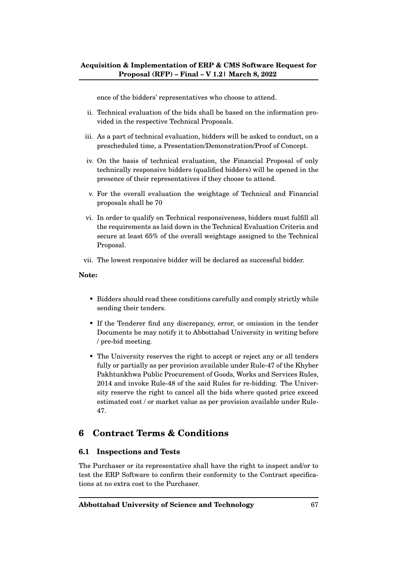ence of the bidders' representatives who choose to attend.

- ii. Technical evaluation of the bids shall be based on the information provided in the respective Technical Proposals.
- iii. As a part of technical evaluation, bidders will be asked to conduct, on a prescheduled time, a Presentation/Demonstration/Proof of Concept.
- iv. On the basis of technical evaluation, the Financial Proposal of only technically responsive bidders (qualified bidders) will be opened in the presence of their representatives if they choose to attend.
- v. For the overall evaluation the weightage of Technical and Financial proposals shall be 70
- vi. In order to qualify on Technical responsiveness, bidders must fulfill all the requirements as laid down in the Technical Evaluation Criteria and secure at least 65% of the overall weightage assigned to the Technical Proposal.
- vii. The lowest responsive bidder will be declared as successful bidder.

#### **Note:**

- Bidders should read these conditions carefully and comply strictly while sending their tenders.
- If the Tenderer find any discrepancy, error, or omission in the tender Documents he may notify it to Abbottabad University in writing before / pre-bid meeting.
- The University reserves the right to accept or reject any or all tenders fully or partially as per provision available under Rule-47 of the Khyber Pakhtunkhwa Public Procurement of Goods, Works and Services Rules, 2014 and invoke Rule-48 of the said Rules for re-bidding. The University reserve the right to cancel all the bids where quoted price exceed estimated cost / or market value as per provision available under Rule-47.

# **6 Contract Terms & Conditions**

#### **6.1 Inspections and Tests**

The Purchaser or its representative shall have the right to inspect and/or to test the ERP Software to confirm their conformity to the Contract specifications at no extra cost to the Purchaser.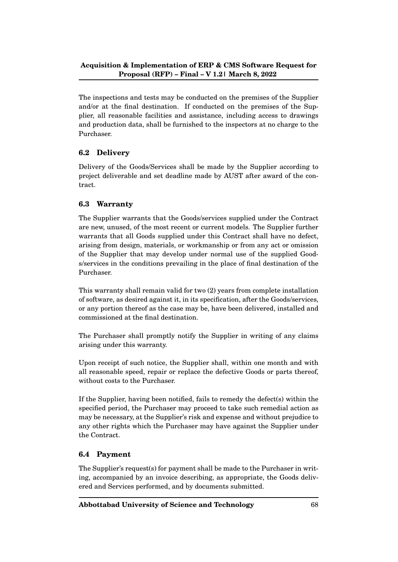The inspections and tests may be conducted on the premises of the Supplier and/or at the final destination. If conducted on the premises of the Supplier, all reasonable facilities and assistance, including access to drawings and production data, shall be furnished to the inspectors at no charge to the Purchaser.

# **6.2 Delivery**

Delivery of the Goods/Services shall be made by the Supplier according to project deliverable and set deadline made by AUST after award of the contract.

# **6.3 Warranty**

The Supplier warrants that the Goods/services supplied under the Contract are new, unused, of the most recent or current models. The Supplier further warrants that all Goods supplied under this Contract shall have no defect, arising from design, materials, or workmanship or from any act or omission of the Supplier that may develop under normal use of the supplied Goods/services in the conditions prevailing in the place of final destination of the Purchaser.

This warranty shall remain valid for two (2) years from complete installation of software, as desired against it, in its specification, after the Goods/services, or any portion thereof as the case may be, have been delivered, installed and commissioned at the final destination.

The Purchaser shall promptly notify the Supplier in writing of any claims arising under this warranty.

Upon receipt of such notice, the Supplier shall, within one month and with all reasonable speed, repair or replace the defective Goods or parts thereof, without costs to the Purchaser.

If the Supplier, having been notified, fails to remedy the defect(s) within the specified period, the Purchaser may proceed to take such remedial action as may be necessary, at the Supplier's risk and expense and without prejudice to any other rights which the Purchaser may have against the Supplier under the Contract.

# **6.4 Payment**

The Supplier's request(s) for payment shall be made to the Purchaser in writing, accompanied by an invoice describing, as appropriate, the Goods delivered and Services performed, and by documents submitted.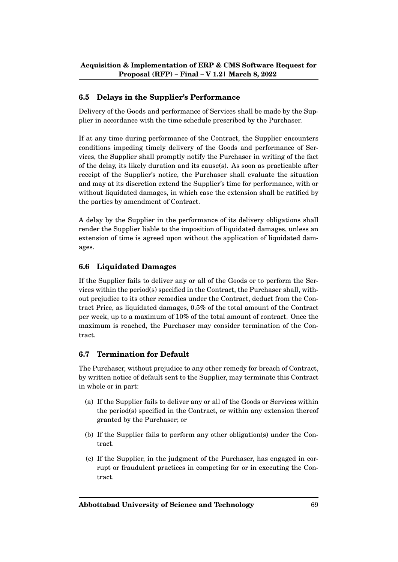# **6.5 Delays in the Supplier's Performance**

Delivery of the Goods and performance of Services shall be made by the Supplier in accordance with the time schedule prescribed by the Purchaser.

If at any time during performance of the Contract, the Supplier encounters conditions impeding timely delivery of the Goods and performance of Services, the Supplier shall promptly notify the Purchaser in writing of the fact of the delay, its likely duration and its cause(s). As soon as practicable after receipt of the Supplier's notice, the Purchaser shall evaluate the situation and may at its discretion extend the Supplier's time for performance, with or without liquidated damages, in which case the extension shall be ratified by the parties by amendment of Contract.

A delay by the Supplier in the performance of its delivery obligations shall render the Supplier liable to the imposition of liquidated damages, unless an extension of time is agreed upon without the application of liquidated damages.

#### **6.6 Liquidated Damages**

If the Supplier fails to deliver any or all of the Goods or to perform the Services within the period(s) specified in the Contract, the Purchaser shall, without prejudice to its other remedies under the Contract, deduct from the Contract Price, as liquidated damages, 0.5% of the total amount of the Contract per week, up to a maximum of 10% of the total amount of contract. Once the maximum is reached, the Purchaser may consider termination of the Contract.

#### **6.7 Termination for Default**

The Purchaser, without prejudice to any other remedy for breach of Contract, by written notice of default sent to the Supplier, may terminate this Contract in whole or in part:

- (a) If the Supplier fails to deliver any or all of the Goods or Services within the period(s) specified in the Contract, or within any extension thereof granted by the Purchaser; or
- (b) If the Supplier fails to perform any other obligation(s) under the Contract.
- (c) If the Supplier, in the judgment of the Purchaser, has engaged in corrupt or fraudulent practices in competing for or in executing the Contract.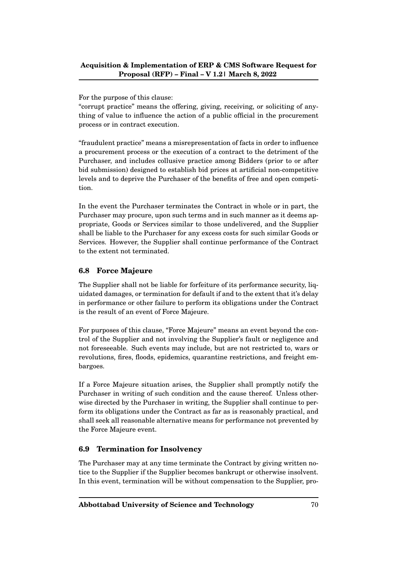For the purpose of this clause:

"corrupt practice" means the offering, giving, receiving, or soliciting of anything of value to influence the action of a public official in the procurement process or in contract execution.

"fraudulent practice" means a misrepresentation of facts in order to influence a procurement process or the execution of a contract to the detriment of the Purchaser, and includes collusive practice among Bidders (prior to or after bid submission) designed to establish bid prices at artificial non-competitive levels and to deprive the Purchaser of the benefits of free and open competition.

In the event the Purchaser terminates the Contract in whole or in part, the Purchaser may procure, upon such terms and in such manner as it deems appropriate, Goods or Services similar to those undelivered, and the Supplier shall be liable to the Purchaser for any excess costs for such similar Goods or Services. However, the Supplier shall continue performance of the Contract to the extent not terminated.

# **6.8 Force Majeure**

The Supplier shall not be liable for forfeiture of its performance security, liquidated damages, or termination for default if and to the extent that it's delay in performance or other failure to perform its obligations under the Contract is the result of an event of Force Majeure.

For purposes of this clause, "Force Majeure" means an event beyond the control of the Supplier and not involving the Supplier's fault or negligence and not foreseeable. Such events may include, but are not restricted to, wars or revolutions, fires, floods, epidemics, quarantine restrictions, and freight embargoes.

If a Force Majeure situation arises, the Supplier shall promptly notify the Purchaser in writing of such condition and the cause thereof. Unless otherwise directed by the Purchaser in writing, the Supplier shall continue to perform its obligations under the Contract as far as is reasonably practical, and shall seek all reasonable alternative means for performance not prevented by the Force Majeure event.

# **6.9 Termination for Insolvency**

The Purchaser may at any time terminate the Contract by giving written notice to the Supplier if the Supplier becomes bankrupt or otherwise insolvent. In this event, termination will be without compensation to the Supplier, pro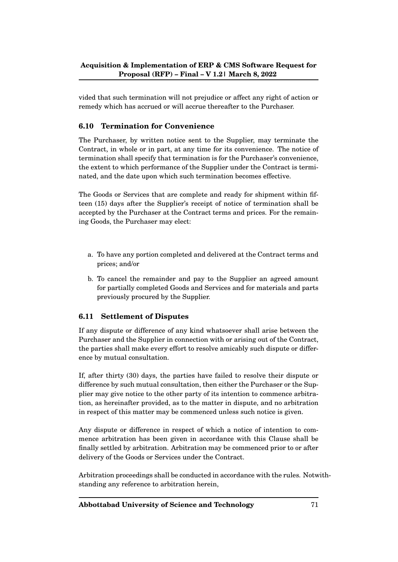vided that such termination will not prejudice or affect any right of action or remedy which has accrued or will accrue thereafter to the Purchaser.

# **6.10 Termination for Convenience**

The Purchaser, by written notice sent to the Supplier, may terminate the Contract, in whole or in part, at any time for its convenience. The notice of termination shall specify that termination is for the Purchaser's convenience, the extent to which performance of the Supplier under the Contract is terminated, and the date upon which such termination becomes effective.

The Goods or Services that are complete and ready for shipment within fifteen (15) days after the Supplier's receipt of notice of termination shall be accepted by the Purchaser at the Contract terms and prices. For the remaining Goods, the Purchaser may elect:

- a. To have any portion completed and delivered at the Contract terms and prices; and/or
- b. To cancel the remainder and pay to the Supplier an agreed amount for partially completed Goods and Services and for materials and parts previously procured by the Supplier.

#### **6.11 Settlement of Disputes**

If any dispute or difference of any kind whatsoever shall arise between the Purchaser and the Supplier in connection with or arising out of the Contract, the parties shall make every effort to resolve amicably such dispute or difference by mutual consultation.

If, after thirty (30) days, the parties have failed to resolve their dispute or difference by such mutual consultation, then either the Purchaser or the Supplier may give notice to the other party of its intention to commence arbitration, as hereinafter provided, as to the matter in dispute, and no arbitration in respect of this matter may be commenced unless such notice is given.

Any dispute or difference in respect of which a notice of intention to commence arbitration has been given in accordance with this Clause shall be finally settled by arbitration. Arbitration may be commenced prior to or after delivery of the Goods or Services under the Contract.

Arbitration proceedings shall be conducted in accordance with the rules. Notwithstanding any reference to arbitration herein,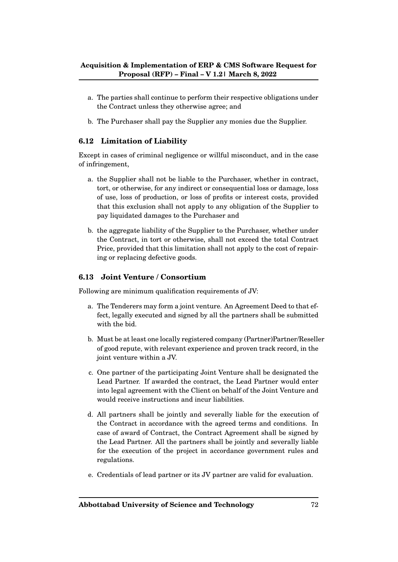- a. The parties shall continue to perform their respective obligations under the Contract unless they otherwise agree; and
- b. The Purchaser shall pay the Supplier any monies due the Supplier.

# **6.12 Limitation of Liability**

Except in cases of criminal negligence or willful misconduct, and in the case of infringement,

- a. the Supplier shall not be liable to the Purchaser, whether in contract, tort, or otherwise, for any indirect or consequential loss or damage, loss of use, loss of production, or loss of profits or interest costs, provided that this exclusion shall not apply to any obligation of the Supplier to pay liquidated damages to the Purchaser and
- b. the aggregate liability of the Supplier to the Purchaser, whether under the Contract, in tort or otherwise, shall not exceed the total Contract Price, provided that this limitation shall not apply to the cost of repairing or replacing defective goods.

# **6.13 Joint Venture / Consortium**

Following are minimum qualification requirements of JV:

- a. The Tenderers may form a joint venture. An Agreement Deed to that effect, legally executed and signed by all the partners shall be submitted with the bid.
- b. Must be at least one locally registered company (Partner)Partner/Reseller of good repute, with relevant experience and proven track record, in the joint venture within a JV.
- c. One partner of the participating Joint Venture shall be designated the Lead Partner. If awarded the contract, the Lead Partner would enter into legal agreement with the Client on behalf of the Joint Venture and would receive instructions and incur liabilities.
- d. All partners shall be jointly and severally liable for the execution of the Contract in accordance with the agreed terms and conditions. In case of award of Contract, the Contract Agreement shall be signed by the Lead Partner. All the partners shall be jointly and severally liable for the execution of the project in accordance government rules and regulations.
- e. Credentials of lead partner or its JV partner are valid for evaluation.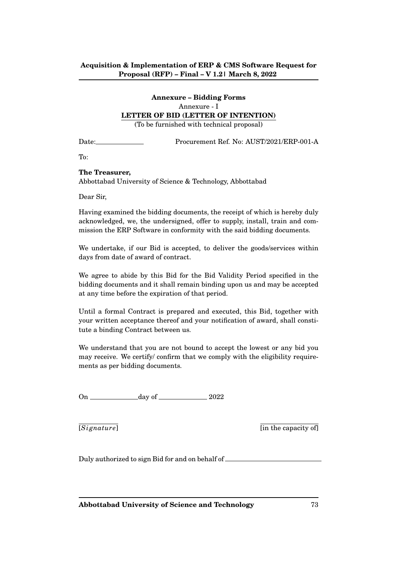# **Annexure – Bidding Forms** Annexure - I

## **LETTER OF BID (LETTER OF INTENTION)**

(To be furnished with technical proposal)

Date: Procurement Ref. No: AUST/2021/ERP-001-A

To:

## **The Treasurer,**

Abbottabad University of Science & Technology, Abbottabad

Dear Sir,

Having examined the bidding documents, the receipt of which is hereby duly acknowledged, we, the undersigned, offer to supply, install, train and commission the ERP Software in conformity with the said bidding documents.

We undertake, if our Bid is accepted, to deliver the goods/services within days from date of award of contract.

We agree to abide by this Bid for the Bid Validity Period specified in the bidding documents and it shall remain binding upon us and may be accepted at any time before the expiration of that period.

Until a formal Contract is prepared and executed, this Bid, together with your written acceptance thereof and your notification of award, shall constitute a binding Contract between us.

We understand that you are not bound to accept the lowest or any bid you may receive. We certify/ confirm that we comply with the eligibility requirements as per bidding documents.

On day of 2022

 $[Signature]$  [in the capacity of]

Duly authorized to sign Bid for and on behalf of

**Abbottabad University of Science and Technology** 73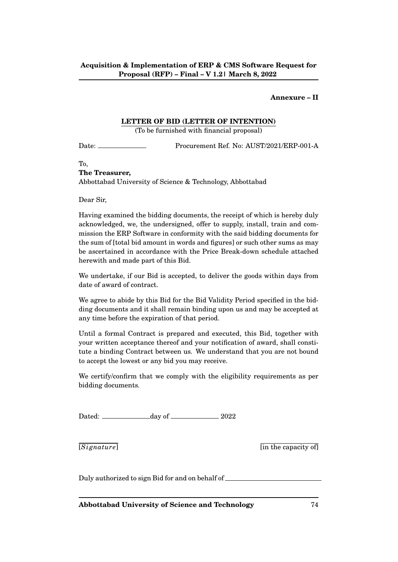## **Annexure – II**

### **LETTER OF BID (LETTER OF INTENTION)**

(To be furnished with financial proposal)

Date: Procurement Ref. No: AUST/2021/ERP-001-A

To, **The Treasurer,**

Abbottabad University of Science & Technology, Abbottabad

Dear Sir,

Having examined the bidding documents, the receipt of which is hereby duly acknowledged, we, the undersigned, offer to supply, install, train and commission the ERP Software in conformity with the said bidding documents for the sum of [total bid amount in words and figures] or such other sums as may be ascertained in accordance with the Price Break-down schedule attached herewith and made part of this Bid.

We undertake, if our Bid is accepted, to deliver the goods within days from date of award of contract.

We agree to abide by this Bid for the Bid Validity Period specified in the bidding documents and it shall remain binding upon us and may be accepted at any time before the expiration of that period.

Until a formal Contract is prepared and executed, this Bid, together with your written acceptance thereof and your notification of award, shall constitute a binding Contract between us. We understand that you are not bound to accept the lowest or any bid you may receive.

We certify/confirm that we comply with the eligibility requirements as per bidding documents.

Dated: <u>day of 2022</u>

 $[Signature]$  [in the capacity of]

Duly authorized to sign Bid for and on behalf of

**Abbottabad University of Science and Technology** 74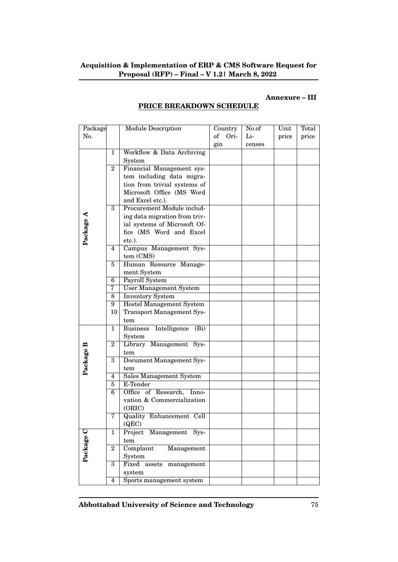## **Annexure – III**

| Package   |                                            | <b>Module Description</b>               | Country    | No.of  | Unit  | Total |
|-----------|--------------------------------------------|-----------------------------------------|------------|--------|-------|-------|
| No.       |                                            |                                         | of<br>Ori- | Li-    | price | price |
|           |                                            |                                         | gin        | censes |       |       |
|           | $\mathbf{1}$                               | Workflow & Data Archiving               |            |        |       |       |
|           |                                            | System                                  |            |        |       |       |
|           | $\overline{2}$                             | Financial Management sys-               |            |        |       |       |
|           |                                            | tem including data migra-               |            |        |       |       |
|           |                                            | tion from trivial systems of            |            |        |       |       |
|           |                                            | Microsoft Office (MS Word               |            |        |       |       |
|           |                                            | and Excel etc.).                        |            |        |       |       |
|           | 3                                          | Procurement Module includ-              |            |        |       |       |
|           |                                            | ing data migration from triv-           |            |        |       |       |
|           |                                            | ial systems of Microsoft Of-            |            |        |       |       |
|           |                                            | fice (MS Word and Excel                 |            |        |       |       |
| Package A |                                            | etc.).                                  |            |        |       |       |
|           | 4                                          | Campus Management Sys-                  |            |        |       |       |
|           |                                            | tem (CMS)                               |            |        |       |       |
|           | 5                                          | Human Resource Manage-                  |            |        |       |       |
|           | ment System                                |                                         |            |        |       |       |
|           | 6                                          | Payroll System                          |            |        |       |       |
|           | 7                                          | <b>User Management System</b>           |            |        |       |       |
|           | 8                                          | <b>Inventory System</b>                 |            |        |       |       |
|           | 9                                          | <b>Hostel Management System</b>         |            |        |       |       |
|           | 10                                         | <b>Transport Management Sys-</b>        |            |        |       |       |
|           |                                            | tem                                     |            |        |       |       |
|           | 1                                          | Intelligence<br><b>Business</b><br>(Bi) |            |        |       |       |
|           |                                            | System                                  |            |        |       |       |
|           | $\overline{2}$                             | Library Management Sys-                 |            |        |       |       |
|           |                                            | tem                                     |            |        |       |       |
| Package B | 3                                          | Document Management Sys-                |            |        |       |       |
|           |                                            | tem                                     |            |        |       |       |
|           | 4                                          | Sales Management System                 |            |        |       |       |
|           | 5                                          | E-Tender                                |            |        |       |       |
|           | 6                                          | Office of Research,<br>Inno-            |            |        |       |       |
|           |                                            | vation & Commercialization              |            |        |       |       |
|           |                                            | (ORIC)                                  |            |        |       |       |
|           | 7                                          | Quality Enhancement Cell                |            |        |       |       |
|           |                                            | (QEC)                                   |            |        |       |       |
| Package C | Project<br>Management Sys-<br>$\mathbf{1}$ |                                         |            |        |       |       |
|           |                                            | tem                                     |            |        |       |       |
|           | $\overline{2}$                             | Complaint<br>Management                 |            |        |       |       |
|           |                                            | System                                  |            |        |       |       |
|           | $\overline{3}$                             | Fixed assets<br>management              |            |        |       |       |
|           | system                                     |                                         |            |        |       |       |
|           | $\overline{4}$                             | Sports management system                |            |        |       |       |

# **PRICE BREAKDOWN SCHEDULE**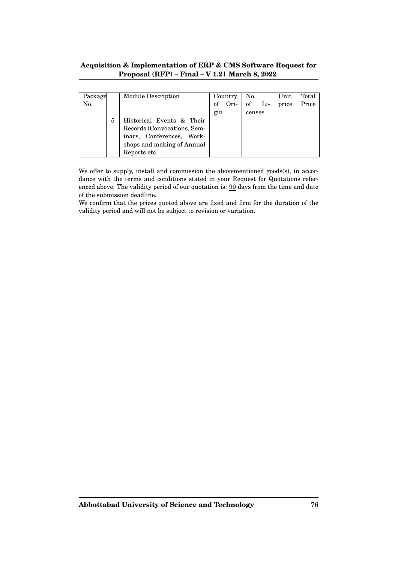| Package |   | Module Description          | Country |               | No. |     | Unit  | Total |
|---------|---|-----------------------------|---------|---------------|-----|-----|-------|-------|
| No.     |   |                             |         | of Ori-       | of  | Li- | price | Price |
|         |   |                             |         | gin<br>censes |     |     |       |       |
|         | 5 | Historical Events & Their   |         |               |     |     |       |       |
|         |   | Records (Convocations, Sem- |         |               |     |     |       |       |
|         |   | inars, Conferences, Work-   |         |               |     |     |       |       |
|         |   | shops and making of Annual  |         |               |     |     |       |       |
|         |   | Reports etc.                |         |               |     |     |       |       |

We offer to supply, install and commission the abovementioned goods(s), in accordance with the terms and conditions stated in your Request for Quotations referenced above. The validity period of our quotation is: 90 days from the time and date of the submission deadline.

We confirm that the prices quoted above are fixed and firm for the duration of the validity period and will not be subject to revision or variation.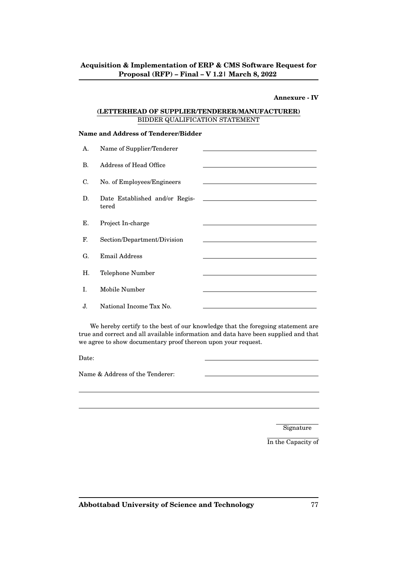### **Annexure - IV**

## **(LETTERHEAD OF SUPPLIER/TENDERER/MANUFACTURER)** BIDDER QUALIFICATION STATEMENT

### **Name and Address of Tenderer/Bidder**

| А. | Name of Supplier/Tenderer      |                                                                            |
|----|--------------------------------|----------------------------------------------------------------------------|
| В. | Address of Head Office         |                                                                            |
| C. | No. of Employees/Engineers     |                                                                            |
| D. | Date Established and/or Regis- | the control of the control of the control of the control of the control of |
|    | tered                          |                                                                            |
| Е. | Project In-charge              |                                                                            |
| F. | Section/Department/Division    |                                                                            |
| G. | Email Address                  |                                                                            |
| Η. | Telephone Number               |                                                                            |
| I. | Mobile Number                  |                                                                            |
| J. | National Income Tax No.        |                                                                            |

We hereby certify to the best of our knowledge that the foregoing statement are true and correct and all available information and data have been supplied and that we agree to show documentary proof thereon upon your request.

Date:

Name & Address of the Tenderer:

Signature

In the Capacity of

**Abbottabad University of Science and Technology** 77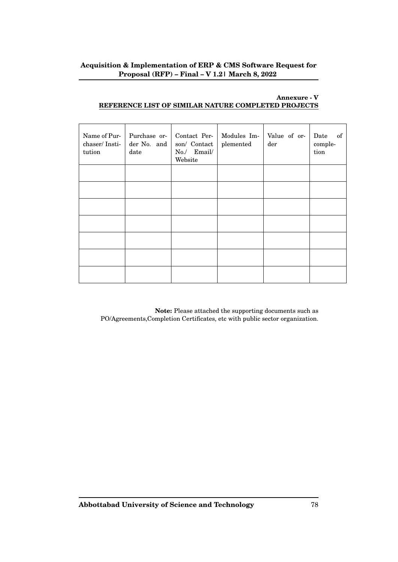# **Annexure - V REFERENCE LIST OF SIMILAR NATURE COMPLETED PROJECTS**

| Name of Pur-<br>chaser/Insti-<br>tution | Purchase or-<br>der No. and<br>date | Contact Per-<br>son/ Contact<br>No./ Email/<br>Website | Modules Im-<br>plemented | Value of or-<br>der | Date<br>of<br>comple-<br>tion |
|-----------------------------------------|-------------------------------------|--------------------------------------------------------|--------------------------|---------------------|-------------------------------|
|                                         |                                     |                                                        |                          |                     |                               |
|                                         |                                     |                                                        |                          |                     |                               |
|                                         |                                     |                                                        |                          |                     |                               |
|                                         |                                     |                                                        |                          |                     |                               |
|                                         |                                     |                                                        |                          |                     |                               |
|                                         |                                     |                                                        |                          |                     |                               |
|                                         |                                     |                                                        |                          |                     |                               |

**Note:** Please attached the supporting documents such as PO/Agreements,Completion Certificates, etc with public sector organization.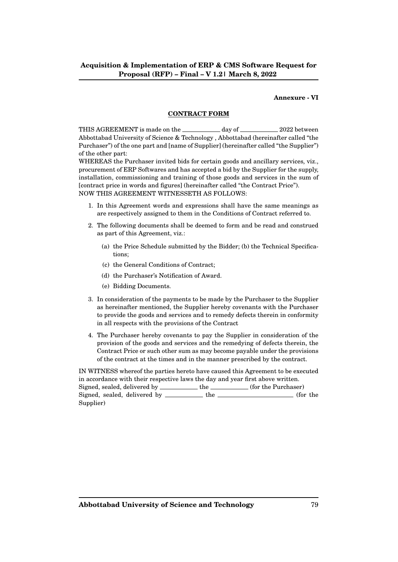### **Annexure - VI**

### **CONTRACT FORM**

THIS AGREEMENT is made on the day of 2022 between Abbottabad University of Science & Technology , Abbottabad (hereinafter called "the Purchaser") of the one part and [name of Supplier] (hereinafter called "the Supplier") of the other part:

WHEREAS the Purchaser invited bids for certain goods and ancillary services, viz., procurement of ERP Softwares and has accepted a bid by the Supplier for the supply, installation, commissioning and training of those goods and services in the sum of [contract price in words and figures] (hereinafter called "the Contract Price"). NOW THIS AGREEMENT WITNESSETH AS FOLLOWS:

- 1. In this Agreement words and expressions shall have the same meanings as are respectively assigned to them in the Conditions of Contract referred to.
- 2. The following documents shall be deemed to form and be read and construed as part of this Agreement, viz.:
	- (a) the Price Schedule submitted by the Bidder; (b) the Technical Specifications;
	- (c) the General Conditions of Contract;
	- (d) the Purchaser's Notification of Award.
	- (e) Bidding Documents.
- 3. In consideration of the payments to be made by the Purchaser to the Supplier as hereinafter mentioned, the Supplier hereby covenants with the Purchaser to provide the goods and services and to remedy defects therein in conformity in all respects with the provisions of the Contract
- 4. The Purchaser hereby covenants to pay the Supplier in consideration of the provision of the goods and services and the remedying of defects therein, the Contract Price or such other sum as may become payable under the provisions of the contract at the times and in the manner prescribed by the contract.

IN WITNESS whereof the parties hereto have caused this Agreement to be executed in accordance with their respective laws the day and year first above written. Signed, sealed, delivered by \_\_\_\_\_\_\_\_\_\_ the \_\_\_\_\_\_\_\_ (for the Purchaser) Signed, sealed, delivered by \_\_\_\_\_\_\_\_\_\_ the \_\_\_\_\_\_\_\_\_\_\_\_\_\_\_\_\_\_\_\_\_ (for the Supplier)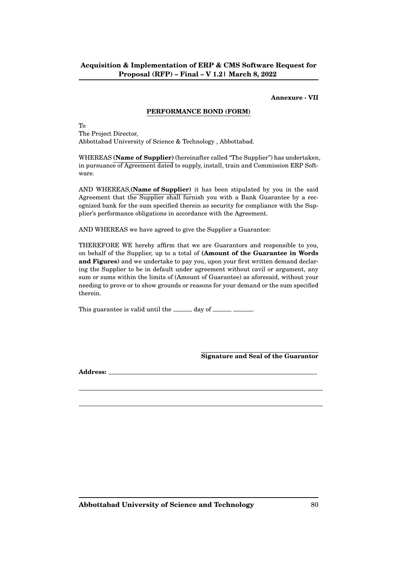### **Annexure - VII**

### **PERFORMANCE BOND (FORM)**

To

The Project Director, Abbottabad University of Science & Technology , Abbottabad.

WHEREAS **(Name of Supplier)** (hereinafter called "The Supplier") has undertaken, in pursuance of Agreement dated to supply, install, train and Commission ERP Software.

AND WHEREAS,**(Name of Supplier)** it has been stipulated by you in the said Agreement that the Supplier shall furnish you with a Bank Guarantee by a recognized bank for the sum specified therein as security for compliance with the Supplier's performance obligations in accordance with the Agreement.

AND WHEREAS we have agreed to give the Supplier a Guarantee:

THEREFORE WE hereby affirm that we are Guarantors and responsible to you, on behalf of the Supplier, up to a total of **(Amount of the Guarantee in Words and Figures)** and we undertake to pay you, upon your first written demand declaring the Supplier to be in default under agreement without cavil or argument, any sum or sums within the limits of (Amount of Guarantee) as aforesaid, without your needing to prove or to show grounds or reasons for your demand or the sum specified therein.

This guarantee is valid until the \_\_\_\_\_ day of \_\_\_\_\_\_\_\_\_.

**Signature and Seal of the Guarantor**

**Address:**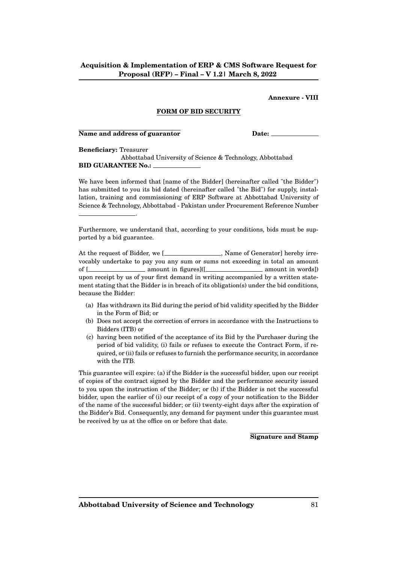### **Annexure - VIII**

### **FORM OF BID SECURITY**

#### **Name and address of guarantor Date:** Date:

.

**Beneficiary:** Treasurer

Abbottabad University of Science & Technology, Abbottabad **BID GUARANTEE No.:**

We have been informed that [name of the Bidder] (hereinafter called "the Bidder") has submitted to you its bid dated (hereinafter called "the Bid") for supply, installation, training and commissioning of ERP Software at Abbottabad University of Science & Technology, Abbottabad - Pakistan under Procurement Reference Number

Furthermore, we understand that, according to your conditions, bids must be supported by a bid guarantee.

At the request of Bidder, we [\_\_\_\_\_\_\_\_\_\_\_\_\_\_\_\_\_, Name of Generator] hereby irrevocably undertake to pay you any sum or sums not exceeding in total an amount of [ amount in figures]([ amount in words]) upon receipt by us of your first demand in writing accompanied by a written statement stating that the Bidder is in breach of its obligation(s) under the bid conditions, because the Bidder:

- (a) Has withdrawn its Bid during the period of bid validity specified by the Bidder in the Form of Bid; or
- (b) Does not accept the correction of errors in accordance with the Instructions to Bidders (ITB) or
- (c) having been notified of the acceptance of its Bid by the Purchaser during the period of bid validity, (i) fails or refuses to execute the Contract Form, if required, or (ii) fails or refuses to furnish the performance security, in accordance with the ITB.

This guarantee will expire: (a) if the Bidder is the successful bidder, upon our receipt of copies of the contract signed by the Bidder and the performance security issued to you upon the instruction of the Bidder; or (b) if the Bidder is not the successful bidder, upon the earlier of (i) our receipt of a copy of your notification to the Bidder of the name of the successful bidder; or (ii) twenty-eight days after the expiration of the Bidder's Bid. Consequently, any demand for payment under this guarantee must be received by us at the office on or before that date.

**Signature and Stamp**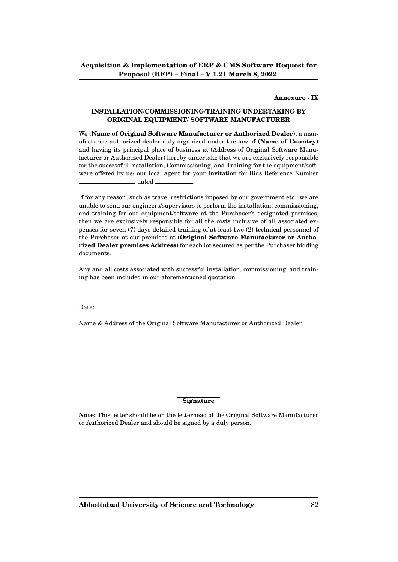## **Annexure - IX**

### **INSTALLATION/COMMISSIONING/TRAINING UNDERTAKING BY ORIGINAL EQUIPMENT/ SOFTWARE MANUFACTURER**

We **(Name of Original Software Manufacturer or Authorized Dealer)**, a manufacturer/ authorized dealer duly organized under the law of **(Name of Country)** and having its principal place of business at (Address of Original Software Manufacturer or Authorized Dealer) hereby undertake that we are exclusively responsible for the successful Installation, Commissioning, and Training for the equipment/software offered by us/ our local agent for your Invitation for Bids Reference Number \_\_\_\_\_\_\_\_\_\_\_\_\_\_ dated \_\_\_\_\_\_\_\_\_\_\_\_

If for any reason, such as travel restrictions imposed by our government etc., we are unable to send our engineers/supervisors to perform the installation, commissioning, and training for our equipment/software at the Purchaser's designated premises, then we are exclusively responsible for all the costs inclusive of all associated expenses for seven (7) days detailed training of at least two (2) technical personnel of the Purchaser at our premises at (**Original Software Manufacturer or Authorized Dealer premises Address**) for each lot secured as per the Purchaser bidding documents.

Any and all costs associated with successful installation, commissioning, and training has been included in our aforementioned quotation.

Date:

Name & Address of the Original Software Manufacturer or Authorized Dealer

### **Signature**

**Note:** This letter should be on the letterhead of the Original Software Manufacturer or Authorized Dealer and should be signed by a duly person.